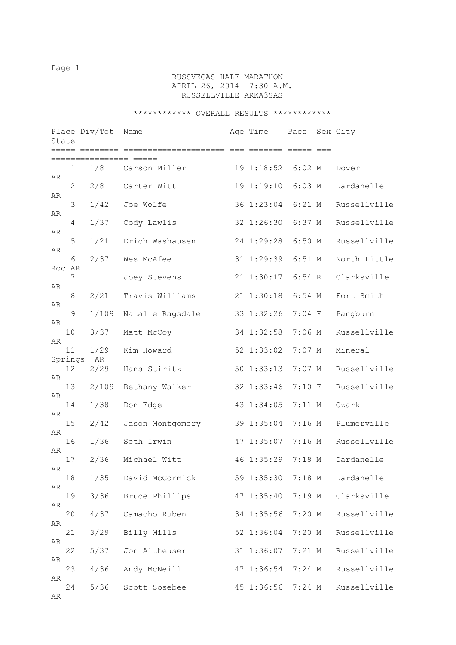# RUSSVEGAS HALF MARATHON APRIL 26, 2014 7:30 A.M. RUSSELLVILLE ARKA3SAS

| State |               | Place Div/Tot<br>===== ======== | Name             | Age Time          | Pace     | Sex City     |
|-------|---------------|---------------------------------|------------------|-------------------|----------|--------------|
|       |               |                                 |                  |                   |          |              |
| AR    | 1             | 1/8                             | Carson Miller    | 19 1:18:52        | $6:02$ M | Dover        |
| AR    | 2             | 2/8                             | Carter Witt      | 19 1:19:10        | $6:03$ M | Dardanelle   |
|       | 3             | 1/42                            | Joe Wolfe        | 36 1:23:04        | $6:21$ M | Russellville |
| AR    | 4             | 1/37                            | Cody Lawlis      | 32 1:26:30        | 6:37 M   | Russellville |
| AR    | 5             | 1/21                            | Erich Washausen  | 24 1:29:28        | $6:50$ M | Russellville |
| AR    | 6             | 2/37                            | Wes McAfee       | 31 1:29:39        | $6:51$ M | North Little |
|       | Roc AR<br>7   |                                 | Joey Stevens     | 21 1:30:17        | $6:54$ R | Clarksville  |
| AR    | 8             | 2/21                            | Travis Williams  | 21 1:30:18        | $6:54$ M | Fort Smith   |
| AR    | 9             | 1/109                           | Natalie Ragsdale | 33 1:32:26        | $7:04$ F | Pangburn     |
| AR    | 10            | 3/37                            |                  | 34 1:32:58        | $7:06$ M | Russellville |
| AR    |               |                                 | Matt McCoy       |                   |          |              |
|       | 11<br>Springs | 1/29<br>AR                      | Kim Howard       | 52 1:33:02        | $7:07$ M | Mineral      |
| AR    | 12            | 2/29                            | Hans Stiritz     | 50 1:33:13        | $7:07$ M | Russellville |
|       | 13            | 2/109                           | Bethany Walker   | 32 1:33:46        | $7:10$ F | Russellville |
| AR    | 14            | 1/38                            | Don Edge         | 43 1:34:05        | 7:11 M   | Ozark        |
| AR    | 15            | 2/42                            | Jason Montgomery | 39 1:35:04        | $7:16$ M | Plumerville  |
| AR    | 16            | 1/36                            | Seth Irwin       | 47 1:35:07        | $7:16$ M | Russellville |
| AR    | 17            | 2/36                            | Michael Witt     | 46 1:35:29        | 7:18 M   | Dardanelle   |
| AR    | 18            | 1/35                            | David McCormick  | 59 1:35:30 7:18 M |          | Dardanelle   |
| AR    | 19            | 3/36                            | Bruce Phillips   | 47 1:35:40        | 7:19 M   | Clarksville  |
| AR    | 20            | 4/37                            | Camacho Ruben    | 34 1:35:56        | 7:20 M   | Russellville |
| AR    | 21            | 3/29                            | Billy Mills      | 52 1:36:04        | 7:20 M   | Russellville |
| AR    |               |                                 |                  |                   |          |              |
| AR    | 22            | 5/37                            | Jon Altheuser    | 31 1:36:07        | 7:21 M   | Russellville |
| AR    | 23            | 4/36                            | Andy McNeill     | 47 1:36:54        | $7:24$ M | Russellville |
| AR    | 24            | 5/36                            | Scott Sosebee    | 45 1:36:56        | $7:24$ M | Russellville |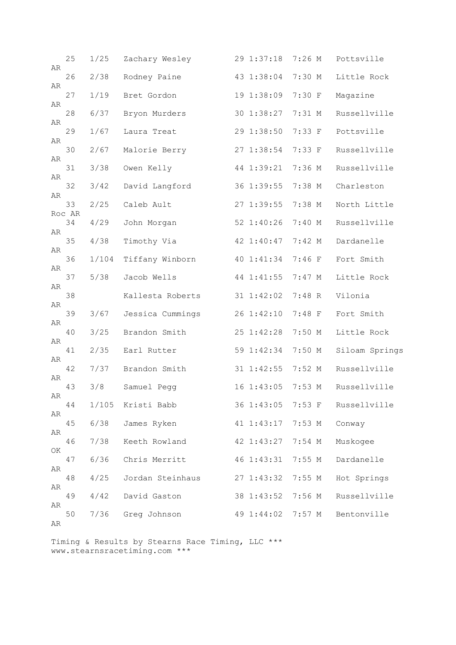| AR | 25           | 1/25  | Zachary Wesley   | 29 1:37:18        | $7:26$ M | Pottsville     |
|----|--------------|-------|------------------|-------------------|----------|----------------|
|    | 26           | 2/38  | Rodney Paine     | 43 1:38:04        | 7:30 M   | Little Rock    |
| AR | 27           | 1/19  | Bret Gordon      | 19 1:38:09        | 7:30 F   | Magazine       |
| AR | 28           | 6/37  | Bryon Murders    | 30 1:38:27        | 7:31 M   | Russellville   |
| AR | 29           | 1/67  | Laura Treat      | 29 1:38:50        | 7:33 F   | Pottsville     |
| AR | 30           | 2/67  | Malorie Berry    | 27 1:38:54        | 7:33 F   | Russellville   |
| AR | 31           | 3/38  | Owen Kelly       | 44 1:39:21        | 7:36 M   | Russellville   |
| AR | 32           | 3/42  | David Langford   | 36 1:39:55        | 7:38 M   | Charleston     |
| AR | 33           | 2/25  | Caleb Ault       | 27 1:39:55        | 7:38 M   | North Little   |
|    | Roc AR<br>34 | 4/29  | John Morgan      | 52 1:40:26        | 7:40 M   | Russellville   |
| AR | 35           | 4/38  | Timothy Via      | 42 1:40:47        | 7:42 M   | Dardanelle     |
| AR | 36           | 1/104 | Tiffany Winborn  | 40 1:41:34        | $7:46$ F | Fort Smith     |
| AR | 37           | 5/38  | Jacob Wells      | 44 1:41:55        | $7:47$ M | Little Rock    |
| AR | 38           |       | Kallesta Roberts | 31 1:42:02        | 7:48 R   | Vilonia        |
| AR | 39           | 3/67  | Jessica Cummings | 26 1:42:10        | $7:48$ F | Fort Smith     |
| AR |              |       |                  |                   |          |                |
| AR | 40           | 3/25  | Brandon Smith    | 25 1:42:28        | $7:50$ M | Little Rock    |
| AR | 41           | 2/35  | Earl Rutter      | 59 1:42:34        | 7:50 M   | Siloam Springs |
| AR | 42           | 7/37  | Brandon Smith    | 31 1:42:55        | $7:52$ M | Russellville   |
| AR | 43           | 3/8   | Samuel Pegg      | 16 1:43:05        | $7:53$ M | Russellville   |
| AR | 44           | 1/105 | Kristi Babb      | 36 1:43:05 7:53 F |          | Russellville   |
| AR | 45           | 6/38  | James Ryken      | 41 1:43:17        | $7:53$ M | Conway         |
| ΟK | 46           | 7/38  | Keeth Rowland    | 42 1:43:27        | $7:54$ M | Muskogee       |
| AR | 47           | 6/36  | Chris Merritt    | 46 1:43:31        | 7:55M    | Dardanelle     |
|    | 48           | 4/25  | Jordan Steinhaus | 27 1:43:32        | 7:55M    | Hot Springs    |
| AR | 49           | 4/42  | David Gaston     | 38 1:43:52        | 7:56 M   | Russellville   |
| AR | 50           | 7/36  | Greg Johnson     | 49 1:44:02        | $7:57$ M | Bentonville    |
| AR |              |       |                  |                   |          |                |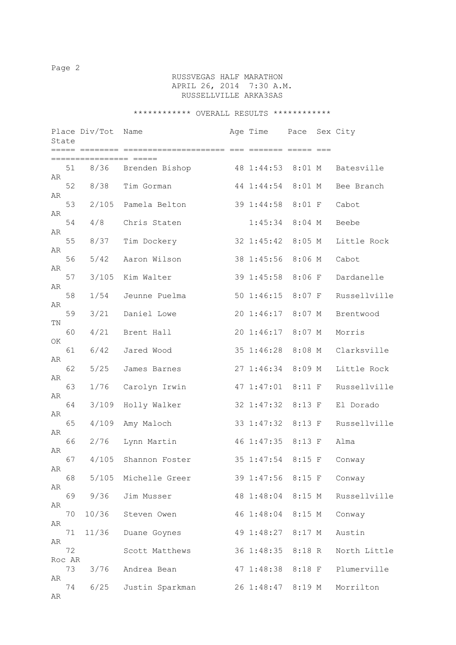# RUSSVEGAS HALF MARATHON APRIL 26, 2014 7:30 A.M. RUSSELLVILLE ARKA3SAS

|    |              | Place Div/Tot  | Name            | Age Time          | Pace     | Sex City     |
|----|--------------|----------------|-----------------|-------------------|----------|--------------|
|    | State        | ===== ======== |                 |                   |          |              |
| AR | 51           | 8/36           | Brenden Bishop  | 48 1:44:53        | $8:01$ M | Batesville   |
|    | 52           | 8/38           | Tim Gorman      | 44 1:44:54        | $8:01$ M | Bee Branch   |
| AR | 53           | 2/105          | Pamela Belton   | 39 1:44:58        | $8:01$ F | Cabot        |
| AR | 54           | 4/8            | Chris Staten    | 1:45:34           | $8:04$ M | Beebe        |
| AR | 55           | 8/37           | Tim Dockery     | 32 1:45:42        | $8:05$ M | Little Rock  |
| AR | 56           | 5/42           | Aaron Wilson    | 38 1:45:56        | $8:06$ M | Cabot        |
| AR | 57           | 3/105          | Kim Walter      | 39 1:45:58        | 8:06 F   | Dardanelle   |
| AR | 58           | 1/54           | Jeunne Puelma   | 50 1:46:15        | $8:07$ F | Russellville |
| AR | 59           | 3/21           | Daniel Lowe     | 20 1:46:17        | $8:07$ M | Brentwood    |
| ΤN | 60           | 4/21           | Brent Hall      | 20 1:46:17        | $8:07$ M | Morris       |
| OK | 61           | 6/42           | Jared Wood      | 35 1:46:28        | $8:08$ M | Clarksville  |
| AR | 62           | 5/25           | James Barnes    | 27 1:46:34        | 8:09 M   | Little Rock  |
| AR | 63           | 1/76           | Carolyn Irwin   | 47 1:47:01        | 8:11 F   | Russellville |
| AR | 64           | 3/109          | Holly Walker    | 32 1:47:32        | 8:13 F   | El Dorado    |
| AR | 65           | 4/109          | Amy Maloch      | 33 1:47:32        | $8:13$ F | Russellville |
| AR | 66           | 2/76           | Lynn Martin     | 46 1:47:35        | 8:13 F   | Alma         |
| AR | 67           | 4/105          | Shannon Foster  | 35 1:47:54        | $8:15$ F | Conway       |
| AR | 68           | 5/105          | Michelle Greer  | 39 1:47:56 8:15 F |          |              |
| AR |              |                |                 |                   |          | Conway       |
| AR | 69           | 9/36           | Jim Musser      | 48 1:48:04        | $8:15$ M | Russellville |
| AR | 70           | 10/36          | Steven Owen     | 46 1:48:04        | 8:15 M   | Conway       |
| AR | 71           | 11/36          | Duane Goynes    | 49 1:48:27        | 8:17 M   | Austin       |
|    | 72<br>Roc AR |                | Scott Matthews  | 36 1:48:35        | 8:18 R   | North Little |
| AR | 73           | 3/76           | Andrea Bean     | 47 1:48:38        | $8:18$ F | Plumerville  |
| AR | 74           | 6/25           | Justin Sparkman | 26 1:48:47 8:19 M |          | Morrilton    |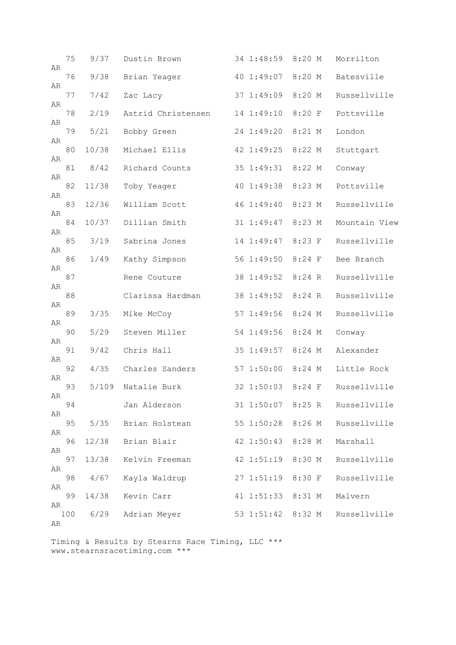| AR | 75  | 9/37  | Dustin Brown       | 34 1:48:59 | 8:20 M   | Morrilton     |
|----|-----|-------|--------------------|------------|----------|---------------|
|    | 76  | 9/38  | Brian Yeager       | 40 1:49:07 | 8:20 M   | Batesville    |
| AR | 77  | 7/42  | Zac Lacy           | 37 1:49:09 | 8:20 M   | Russellville  |
| AR | 78  | 2/19  | Astrid Christensen | 14 1:49:10 | 8:20 F   | Pottsville    |
| AR | 79  | 5/21  | Bobby Green        | 24 1:49:20 | $8:21$ M | London        |
| AR | 80  | 10/38 | Michael Ellis      | 42 1:49:25 | 8:22 M   | Stuttgart     |
| AR | 81  | 8/42  | Richard Counts     | 35 1:49:31 | 8:22 M   | Conway        |
| AR | 82  | 11/38 | Toby Yeager        | 40 1:49:38 | 8:23 M   | Pottsville    |
| AR | 83  | 12/36 | William Scott      | 46 1:49:40 | 8:23 M   | Russellville  |
| AR | 84  | 10/37 | Dillian Smith      | 31 1:49:47 | 8:23 M   | Mountain View |
| AR |     |       |                    |            |          |               |
| AR | 85  | 3/19  | Sabrina Jones      | 14 1:49:47 | 8:23 F   | Russellville  |
| AR | 86  | 1/49  | Kathy Simpson      | 56 1:49:50 | $8:24$ F | Bee Branch    |
| AR | 87  |       | Rene Couture       | 38 1:49:52 | 8:24 R   | Russellville  |
| AR | 88  |       | Clarissa Hardman   | 38 1:49:52 | 8:24 R   | Russellville  |
| AR | 89  | 3/35  | Mike McCoy         | 57 1:49:56 | 8:24 M   | Russellville  |
|    | 90  | 5/29  | Steven Miller      | 54 1:49:56 | 8:24 M   | Conway        |
| AR | 91  | 9/42  | Chris Hall         | 35 1:49:57 | $8:24$ M | Alexander     |
| AR | 92  | 4/35  | Charles Sanders    | 57 1:50:00 | 8:24 M   | Little Rock   |
| AR | 93  | 5/109 | Natalie Burk       | 32 1:50:03 | $8:24$ F | Russellville  |
| AR | 94  |       | Jan Alderson       | 31 1:50:07 | 8:25 R   | Russellville  |
| AR | 95  | 5/35  | Brian Holstean     | 55 1:50:28 | 8:26 M   | Russellville  |
| AR | 96  | 12/38 | Brian Blair        | 42 1:50:43 | 8:28 M   | Marshall      |
| AR |     |       |                    | 42 1:51:19 |          |               |
| AR | 97  | 13/38 | Kelvin Freeman     |            | 8:30 M   | Russellville  |
| AR | 98  | 4/67  | Kayla Waldrup      | 271:51:19  | 8:30 F   | Russellville  |
| AR | 99  | 14/38 | Kevin Carr         | 41 1:51:33 | 8:31 M   | Malvern       |
| AR | 100 | 6/29  | Adrian Meyer       | 53 1:51:42 | 8:32 M   | Russellville  |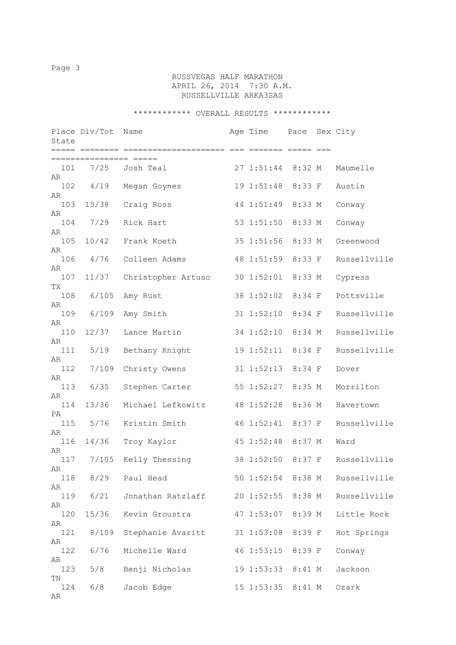# RUSSVEGAS HALF MARATHON APRIL 26, 2014 7:30 A.M. RUSSELLVILLE ARKA3SAS

| State                   | Place Div/Tot          | Name               | Age Time          | Pace     | Sex City     |
|-------------------------|------------------------|--------------------|-------------------|----------|--------------|
|                         |                        |                    |                   |          |              |
| 101<br>AR               | ==============<br>7/25 | Josh Teal          | 27 1:51:44        | 8:32 M   | Maumelle     |
| 102<br>AR               | 4/19                   | Megan Goynes       | 19 1:51:48        | 8:33 F   | Austin       |
| 103<br>AR               | 15/38                  | Craig Ross         | 44 1:51:49        | 8:33 M   | Conway       |
| 104<br>AR               | 7/29                   | Rick Hart          | 53 1:51:50        | 8:33 M   | Conway       |
| 105                     | 10/42                  | Frank Koeth        | 35 1:51:56        | 8:33 M   | Greenwood    |
| AR<br>106               | 4/76                   | Colleen Adams      | 48 1:51:59        | 8:33 F   | Russellville |
| AR<br>107               | 11/37                  | Christopher Artuso | 30 1:52:01        | 8:33 M   | Cypress      |
| TX<br>108               | 6/105                  | Amy Rust           | 38 1:52:02        | 8:34 F   | Pottsville   |
| AR<br>109               | 6/109                  | Amy Smith          | $31 \t1:52:10$    | $8:34$ F | Russellville |
| AR<br>110               | 12/37                  | Lance Martin       | 34 1:52:10        | 8:34 M   | Russellville |
| AR<br>111               | 5/19                   | Bethany Knight     | 19 1:52:11        | 8:34 F   | Russellville |
| AR<br>112               | 7/109                  | Christy Owens      | $31 \t1:52:13$    | 8:34 F   | Dover        |
| AR<br>113<br>AR         | 6/35                   | Stephen Carter     | 55 1:52:27        | 8:35 M   | Morrilton    |
| 114<br>PA               | 13/36                  | Michael Lefkowitz  | 48 1:52:28        | 8:36 M   | Havertown    |
| 115<br>AR               | $5/76$                 | Kristin Smith      | 46 1:52:41        | $8:37$ F | Russellville |
| 116                     | 14/36                  | Troy Kaylor        | 45 1:52:48        | 8:37 M   | Ward         |
| AR<br>117<br>${\sf AR}$ | 7/105                  | Kelly Thessing     | 38 1:52:50        | $8:37$ F | Russellville |
| 118                     | 8/29                   | Paul Head          | 50 1:52:54 8:38 M |          | Russellville |
| AR<br>119               | 6/21                   | Jonathan Ratzlaff  | 20 1:52:55 8:38 M |          | Russellville |
| AR<br>120               | 15/36                  | Kevin Groustra     | 47 1:53:07 8:39 M |          | Little Rock  |
| AR<br>121               | 8/109                  | Stephanie Avaritt  | 31 1:53:08 8:39 F |          | Hot Springs  |
| AR<br>122               | 6/76                   | Michelle Ward      | 46 1:53:15 8:39 F |          | Conway       |
| AR<br>123<br>ΤN         | 5/8                    | Benji Nicholas     | 19 1:53:33 8:41 M |          | Jackson      |
| 124<br>AR               | 6/8                    | Jacob Edge         | 15 1:53:35 8:41 M |          | Ozark        |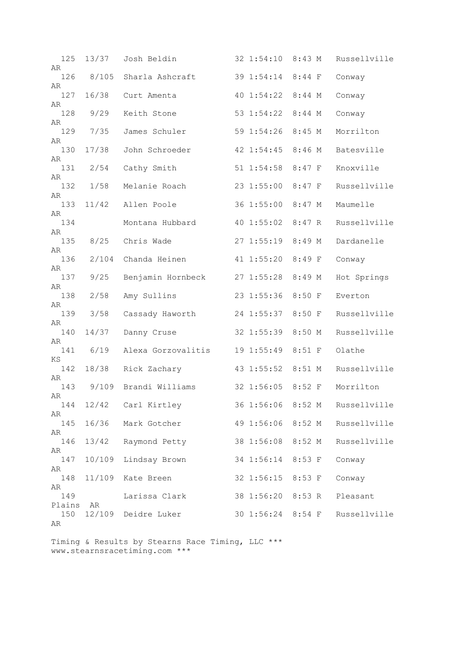| 125<br>AR | 13/37  | Josh Beldin        | 32 1:54:10        | 8:43 M   | Russellville |
|-----------|--------|--------------------|-------------------|----------|--------------|
| 126       | 8/105  | Sharla Ashcraft    | 39 1:54:14        | $8:44$ F | Conway       |
| AR<br>127 | 16/38  | Curt Amenta        | 40 1:54:22        | $8:44$ M | Conway       |
| AR<br>128 | 9/29   | Keith Stone        | 53 1:54:22        | $8:44$ M | Conway       |
| AR<br>129 | 7/35   | James Schuler      | 59 1:54:26        | $8:45$ M | Morrilton    |
| AR        |        |                    |                   | $8:46$ M | Batesville   |
| 130<br>AR | 17/38  | John Schroeder     | 42 1:54:45        |          |              |
| 131<br>AR | 2/54   | Cathy Smith        | 51 1:54:58        | $8:47$ F | Knoxville    |
| 132<br>AR | 1/58   | Melanie Roach      | 23 1:55:00        | $8:47$ F | Russellville |
| 133       | 11/42  | Allen Poole        | 36 1:55:00        | $8:47$ M | Maumelle     |
| AR<br>134 |        | Montana Hubbard    | 40 1:55:02        | 8:47R    | Russellville |
| AR<br>135 | 8/25   | Chris Wade         | 271:55:19         | 8:49 M   | Dardanelle   |
| AR<br>136 | 2/104  | Chanda Heinen      | 41 1:55:20        | 8:49 F   | Conway       |
| AR        |        |                    |                   |          |              |
| 137<br>AR | 9/25   | Benjamin Hornbeck  | 271:55:28         | 8:49 M   | Hot Springs  |
| 138<br>AR | 2/58   | Amy Sullins        | 23 1:55:36        | 8:50 F   | Everton      |
| 139       | 3/58   | Cassady Haworth    | 24 1:55:37        | 8:50 F   | Russellville |
| AR<br>140 | 14/37  | Danny Cruse        | 32 1:55:39        | 8:50 M   | Russellville |
| AR<br>141 | 6/19   | Alexa Gorzovalitis | 19 1:55:49        | $8:51$ F | Olathe       |
| ΚS<br>142 | 18/38  | Rick Zachary       | 43 1:55:52        | $8:51$ M | Russellville |
| AR<br>143 | 9/109  | Brandi Williams    | 32 1:56:05        | $8:52$ F | Morrilton    |
| AR        |        |                    |                   |          |              |
| 144<br>AR | 12/42  | Carl Kirtley       | 36 1:56:06 8:52 M |          | Russellville |
| 145<br>AR | 16/36  | Mark Gotcher       | 49 1:56:06 8:52 M |          | Russellville |
| 146       | 13/42  | Raymond Petty      | 38 1:56:08        | 8:52 M   | Russellville |
| AR<br>147 | 10/109 | Lindsay Brown      | 34 1:56:14        | 8:53 F   | Conway       |
| AR<br>148 | 11/109 | Kate Breen         | 32 1:56:15        | 8:53 F   | Conway       |
| AR<br>149 |        | Larissa Clark      | 38 1:56:20        | 8:53 R   | Pleasant     |
| Plains    | AR     |                    |                   |          |              |
| 150<br>AR | 12/109 | Deidre Luker       | 30 1:56:24 8:54 F |          | Russellville |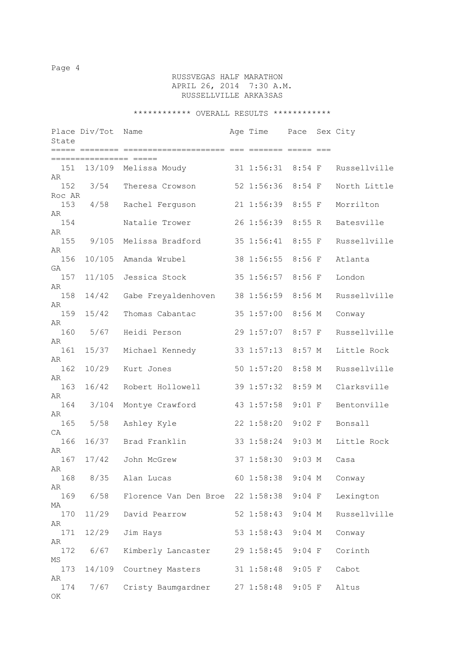# RUSSVEGAS HALF MARATHON APRIL 26, 2014 7:30 A.M. RUSSELLVILLE ARKA3SAS

| State           | Place Div/Tot            | Name                  | Age Time          | Pace     | Sex City     |
|-----------------|--------------------------|-----------------------|-------------------|----------|--------------|
|                 |                          |                       |                   |          |              |
| 151             | :======================= | 13/109 Melissa Moudy  | 31 1:56:31 8:54 F |          | Russellville |
| AR<br>152       | 3/54                     | Theresa Crowson       | 52 1:56:36        | $8:54$ F | North Little |
| Roc AR<br>153   | 4/58                     | Rachel Ferguson       | 21 1:56:39        | $8:55$ F | Morrilton    |
| AR              |                          |                       |                   |          |              |
| 154<br>AR       |                          | Natalie Trower        | 26 1:56:39        | 8:55 R   | Batesville   |
| 155<br>AR       | 9/105                    | Melissa Bradford      | 35 1:56:41        | $8:55$ F | Russellville |
| 156             | 10/105                   | Amanda Wrubel         | 38 1:56:55        | $8:56$ F | Atlanta      |
| GA<br>157       | 11/105                   | Jessica Stock         | 35 1:56:57        | 8:56 F   | London       |
| AR<br>158       | 14/42                    | Gabe Freyaldenhoven   | 38 1:56:59        | $8:56$ M | Russellville |
| AR<br>159       | 15/42                    | Thomas Cabantac       | 35 1:57:00        | 8:56 M   | Conway       |
| AR              |                          |                       |                   |          |              |
| 160<br>AR       | 5/67                     | Heidi Person          | 29 1:57:07        | $8:57$ F | Russellville |
| 161<br>AR       | 15/37                    | Michael Kennedy       | 33 1:57:13        | $8:57$ M | Little Rock  |
| 162<br>AR       | 10/29                    | Kurt Jones            | 50 1:57:20        | $8:58$ M | Russellville |
| 163             | 16/42                    | Robert Hollowell      | 39 1:57:32        | 8:59 M   | Clarksville  |
| AR<br>164       | 3/104                    | Montye Crawford       | 43 1:57:58        | $9:01$ F | Bentonville  |
| AR<br>165       | 5/58                     | Ashley Kyle           | 22 1:58:20        | $9:02$ F | Bonsall      |
| CA<br>166       | 16/37                    | Brad Franklin         | 33 1:58:24        | $9:03$ M | Little Rock  |
| AR<br>167       | 17/42                    | John McGrew           | 37 1:58:30        | $9:03$ M | Casa         |
| AR<br>168       | 8/35                     | Alan Lucas            | 60 1:58:38        | $9:04$ M | Conway       |
| AR              |                          |                       |                   |          |              |
| 169<br>МA       | 6/58                     | Florence Van Den Broe | 22 1:58:38        | $9:04$ F | Lexington    |
| 170<br>AR       | 11/29                    | David Pearrow         | 52 1:58:43        | $9:04$ M | Russellville |
| 171<br>AR       | 12/29                    | Jim Hays              | 53 1:58:43        | $9:04$ M | Conway       |
| 172             | 6/67                     | Kimberly Lancaster    | 29 1:58:45        | $9:04$ F | Corinth      |
| ΜS<br>173       | 14/109                   | Courtney Masters      | 31 1:58:48        | $9:05$ F | Cabot        |
| AR<br>174<br>ΟK | 7/67                     | Cristy Baumgardner    | 271:58:48         | $9:05$ F | Altus        |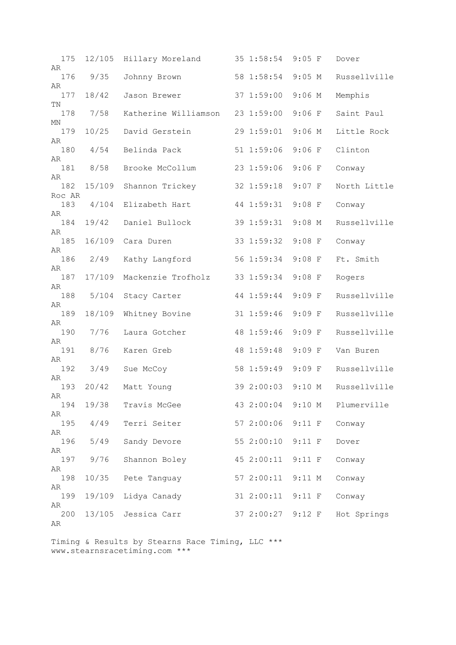| 175<br>AR     | 12/105 | Hillary Moreland     | 35 1:58:54        | $9:05$ F | Dover        |
|---------------|--------|----------------------|-------------------|----------|--------------|
| 176<br>AR     | 9/35   | Johnny Brown         | 58 1:58:54        | $9:05$ M | Russellville |
| 177<br>ΤN     | 18/42  | Jason Brewer         | 37 1:59:00        | $9:06$ M | Memphis      |
| 178           | 7/58   | Katherine Williamson | 23 1:59:00        | $9:06$ F | Saint Paul   |
| ΜN<br>179     | 10/25  | David Gerstein       | 29 1:59:01        | $9:06$ M | Little Rock  |
| AR<br>180     | 4/54   | Belinda Pack         | 51 1:59:06        | $9:06$ F | Clinton      |
| AR<br>181     | 8/58   | Brooke McCollum      | 23 1:59:06        | $9:06$ F | Conway       |
| AR<br>182     | 15/109 | Shannon Trickey      | 32 1:59:18        | $9:07$ F | North Little |
| Roc AR<br>183 | 4/104  | Elizabeth Hart       | 44 1:59:31        | $9:08$ F | Conway       |
| AR<br>184     | 19/42  | Daniel Bullock       | 39 1:59:31        | $9:08$ M | Russellville |
| AR<br>185     | 16/109 | Cara Duren           | 33 1:59:32        | $9:08$ F | Conway       |
| AR<br>186     | 2/49   | Kathy Langford       | 56 1:59:34        | $9:08$ F | Ft. Smith    |
| AR<br>187     | 17/109 | Mackenzie Trofholz   | 33 1:59:34        | $9:08$ F | Rogers       |
| AR<br>188     | 5/104  | Stacy Carter         | 44 1:59:44        | $9:09$ F | Russellville |
| AR<br>189     | 18/109 | Whitney Bovine       | 31 1:59:46        | $9:09$ F | Russellville |
| AR<br>190     | 7/76   | Laura Gotcher        | 48 1:59:46        | $9:09$ F | Russellville |
| AR<br>191     | 8/76   | Karen Greb           | 48 1:59:48        | $9:09$ F | Van Buren    |
| AR<br>192     | 3/49   | Sue McCoy            | 58 1:59:49        | $9:09$ F | Russellville |
| AR<br>193     | 20/42  | Matt Young           | 39 2:00:03        | $9:10$ M | Russellville |
| AR<br>194     | 19/38  | Travis McGee         | 43 2:00:04 9:10 M |          | Plumerville  |
| AR<br>195     | 4/49   | Terri Seiter         | 57 2:00:06        | $9:11$ F | Conway       |
| AR<br>196     | 5/49   | Sandy Devore         | 55 2:00:10        | $9:11$ F | Dover        |
| AR<br>197     | 9/76   | Shannon Boley        | 45 2:00:11 9:11 F |          | Conway       |
| AR<br>198     | 10/35  | Pete Tanguay         | 57 2:00:11 9:11 M |          | Conway       |
| AR            |        |                      |                   |          |              |
| 199<br>AR     | 19/109 | Lidya Canady         | 31 2:00:11 9:11 F |          | Conway       |
| 200<br>AR     | 13/105 | Jessica Carr         | 37 2:00:27 9:12 F |          | Hot Springs  |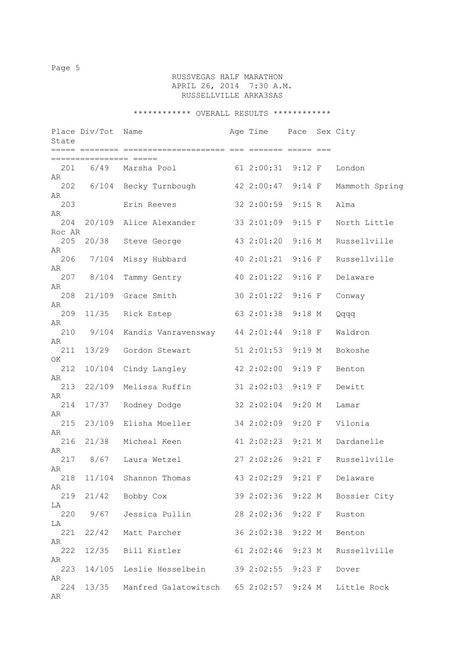# RUSSVEGAS HALF MARATHON APRIL 26, 2014 7:30 A.M. RUSSELLVILLE ARKA3SAS

| State         | Place Div/Tot    | Name                                             | Age Time Pace Sex City |          |                |
|---------------|------------------|--------------------------------------------------|------------------------|----------|----------------|
|               | :=============== |                                                  |                        |          |                |
| AR            |                  | 61 2:00:31 9:12 F<br>201 6/49 Marsha Pool        |                        |          | London         |
| 202<br>AR     |                  | 6/104 Becky Turnbough                            | 42 2:00:47 9:14 F      |          | Mammoth Spring |
| 203<br>AR     |                  | Erin Reeves                                      | 32 2:00:59 9:15 R      |          | Alma           |
| 204<br>Roc AR |                  | 20/109 Alice Alexander                           | 33 2:01:09 9:15 F      |          | North Little   |
| 205<br>AR     | 20/38            | Steve George                                     | 43 2:01:20 9:16 M      |          | Russellville   |
| 206<br>AR     | 7/104            | Missy Hubbard                                    | 40 2:01:21             | $9:16$ F | Russellville   |
| 207<br>AR     | 8/104            | Tammy Gentry                                     | 40 2:01:22             | $9:16$ F | Delaware       |
| 208<br>AR     | 21/109           | Grace Smith                                      | 30 2:01:22 9:16 F      |          | Conway         |
| 209<br>AR     | 11/35            | Rick Estep                                       | 63 2:01:38 9:18 M      |          | pppQ           |
| 210<br>AR     | 9/104            | Kandis Vanravensway 44 2:01:44                   |                        | $9:18$ F | Waldron        |
| 211<br>OK     | 13/29            | Gordon Stewart                                   | 51 2:01:53             | 9:19 M   | Bokoshe        |
| 212<br>AR     | 10/104           | Cindy Langley                                    | 42 2:02:00             | $9:19$ F | Benton         |
| 213<br>AR     | 22/109           | Melissa Ruffin                                   | 31 2:02:03             | $9:19$ F | Dewitt         |
| 214<br>AR     | 17/37            | Rodney Dodge                                     | 32 2:02:04             | $9:20$ M | Lamar          |
| 215<br>AR     | 23/109           | Elisha Moeller                                   | 34 2:02:09             | $9:20$ F | Vilonia        |
| 216<br>AR     | 21/38            | Micheal Keen                                     | 41 2:02:23 9:21 M      |          | Dardanelle     |
| 217<br>AR     | 8/67             | Laura Wetzel                                     | 27 2:02:26 9:21 F      |          | Russellville   |
| 218<br>AR     |                  | 11/104 Shannon Thomas 43 2:02:29 9:21 F Delaware |                        |          |                |
| 219<br>LA     |                  | 21/42 Bobby Cox                                  | 39 2:02:36 9:22 M      |          | Bossier City   |
| LA            | 220 9/67         | Jessica Pullin 28 2:02:36 9:22 F                 |                        |          | Ruston         |
| 221<br>AR     |                  | 22/42 Matt Parcher                               | 36 2:02:38 9:22 M      |          | Benton         |
| 222<br>AR     |                  | 12/35 Bill Kistler                               | 61 2:02:46 9:23 M      |          | Russellville   |
| 223<br>AR     |                  | 14/105 Leslie Hesselbein 39 2:02:55 9:23 F       |                        |          | Dover          |
| 224<br>AR     |                  | 13/35 Manfred Galatowitsch 65 2:02:57 9:24 M     |                        |          | Little Rock    |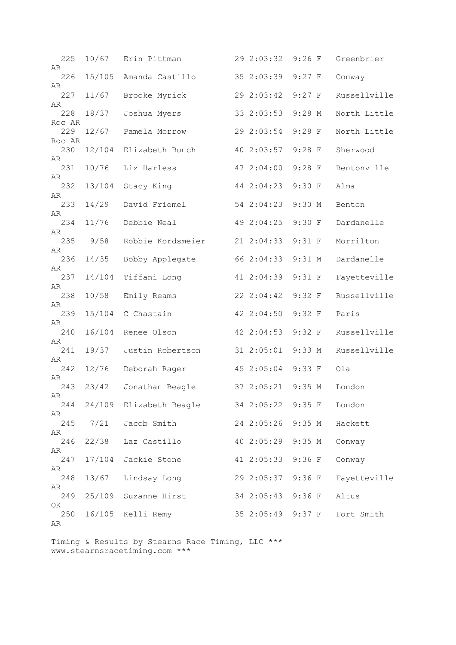| 225             | 10/67  | Erin Pittman            | 29 2:03:32        | $9:26$ F | Greenbrier   |
|-----------------|--------|-------------------------|-------------------|----------|--------------|
| AR<br>226       | 15/105 | Amanda Castillo         | 35 2:03:39        | $9:27$ F | Conway       |
| AR<br>227       | 11/67  | Brooke Myrick           | 29 2:03:42        | $9:27$ F | Russellville |
| AR              |        |                         |                   |          |              |
| 228<br>Roc AR   | 18/37  | Joshua Myers            | 33 2:03:53        | $9:28$ M | North Little |
| 229             | 12/67  | Pamela Morrow           | 29 2:03:54        | $9:28$ F | North Little |
| Roc AR<br>230   | 12/104 | Elizabeth Bunch         | 40 2:03:57        | $9:28$ F | Sherwood     |
| AR<br>231<br>AR | 10/76  | Liz Harless             | 47 2:04:00        | $9:28$ F | Bentonville  |
| 232<br>AR       | 13/104 | Stacy King              | 44 2:04:23        | 9:30 F   | Alma         |
| 233             | 14/29  | David Friemel           | 54 2:04:23        | $9:30$ M | Benton       |
| AR<br>234       | 11/76  | Debbie Neal             | 49 2:04:25        | 9:30 F   | Dardanelle   |
| AR<br>235       | 9/58   | Robbie Kordsmeier       | 21 2:04:33        | $9:31$ F | Morrilton    |
| AR<br>236       | 14/35  | Bobby Applegate         | 66 2:04:33        | $9:31$ M | Dardanelle   |
| AR<br>237       | 14/104 | Tiffani Long            | 41 2:04:39        | $9:31$ F | Fayetteville |
| AR<br>238       | 10/58  | Emily Reams             | 22 2:04:42        | 9:32 F   | Russellville |
| AR<br>239       | 15/104 | C Chastain              | 42 2:04:50        | 9:32 F   | Paris        |
| AR<br>240       | 16/104 | Renee Olson             | 42 2:04:53        | 9:32 F   | Russellville |
| AR<br>241       | 19/37  | Justin Robertson        | 31 2:05:01        | 9:33 M   | Russellville |
| AR<br>242       | 12/76  | Deborah Rager           | 45 2:05:04        | 9:33 F   | Ola          |
| AR<br>243       | 23/42  | Jonathan Beagle         | 37 2:05:21        | 9:35 M   | London       |
| AR              |        |                         |                   |          |              |
| 244<br>AR       |        | 24/109 Elizabeth Beagle | 34 2:05:22 9:35 F |          | London       |
| 245             | 7/21   | Jacob Smith             | 24 2:05:26 9:35 M |          | Hackett      |
| AR<br>246       | 22/38  | Laz Castillo            | 40 2:05:29        | 9:35 M   | Conway       |
| AR<br>247       | 17/104 | Jackie Stone            | 41 2:05:33 9:36 F |          | Conway       |
| AR<br>248       | 13/67  | Lindsay Long            | 29 2:05:37 9:36 F |          | Fayetteville |
| AR<br>249       | 25/109 | Suzanne Hirst           | 34 2:05:43 9:36 F |          | Altus        |
| OK<br>250<br>AR | 16/105 | Kelli Remy              | 35 2:05:49 9:37 F |          | Fort Smith   |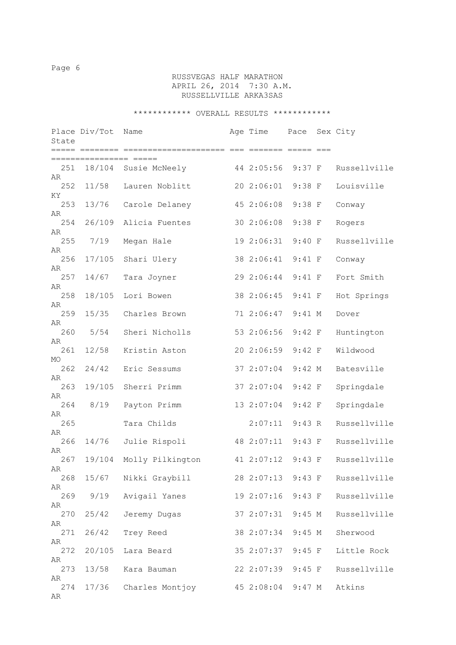# RUSSVEGAS HALF MARATHON APRIL 26, 2014 7:30 A.M. RUSSELLVILLE ARKA3SAS

| State           | Place Div/Tot | Name                 | Age Time          | Pace     | Sex City     |
|-----------------|---------------|----------------------|-------------------|----------|--------------|
|                 |               |                      |                   |          |              |
| 251<br>AR       |               | 18/104 Susie McNeely | 44 2:05:56        | $9:37$ F | Russellville |
| 252<br>ΚY       | 11/58         | Lauren Noblitt       | 20 2:06:01        | $9:38$ F | Louisville   |
| 253<br>AR       | 13/76         | Carole Delaney       | 45 2:06:08        | $9:38$ F | Conway       |
| 254<br>AR       | 26/109        | Alicia Fuentes       | 30 2:06:08        | $9:38$ F | Rogers       |
| 255<br>AR       | 7/19          | Megan Hale           | 19 2:06:31        | 9:40 F   | Russellville |
| 256<br>AR       | 17/105        | Shari Ulery          | 38 2:06:41        | 9:41 F   | Conway       |
| 257<br>AR       | 14/67         | Tara Joyner          | 29 2:06:44        | $9:41$ F | Fort Smith   |
| 258<br>AR       | 18/105        | Lori Bowen           | 38 2:06:45        | $9:41$ F | Hot Springs  |
| 259<br>AR       | 15/35         | Charles Brown        | 71 2:06:47        | $9:41$ M | Dover        |
| 260             | 5/54          | Sheri Nicholls       | 53 2:06:56        | 9:42 F   | Huntington   |
| AR<br>261       | 12/58         | Kristin Aston        | 20 2:06:59        | 9:42 F   | Wildwood     |
| MO<br>262<br>AR | 24/42         | Eric Sessums         | 37 2:07:04        | 9:42 M   | Batesville   |
| 263<br>AR       | 19/105        | Sherri Primm         | 37 2:07:04        | 9:42 F   | Springdale   |
| 264<br>AR       | 8/19          | Payton Primm         | 13 2:07:04        | 9:42 F   | Springdale   |
| 265<br>AR       |               | Tara Childs          | 2:07:11           | 9:43 R   | Russellville |
| 266<br>AR       | 14/76         | Julie Rispoli        | 48 2:07:11        | 9:43 F   | Russellville |
| 267<br>AR       | 19/104        | Molly Pilkington     | 41 2:07:12        | 9:43 F   | Russellville |
| 268<br>AR       | 15/67         | Nikki Graybill       | 28 2:07:13 9:43 F |          | Russellville |
| 269<br>AR       | 9/19          | Avigail Yanes        | 19 2:07:16        | $9:43$ F | Russellville |
| 270<br>AR       | 25/42         | Jeremy Dugas         | 37 2:07:31        | $9:45$ M | Russellville |
| 271<br>AR       | 26/42         | Trey Reed            | 38 2:07:34 9:45 M |          | Sherwood     |
| 272<br>AR       | 20/105        | Lara Beard           | 35 2:07:37 9:45 F |          | Little Rock  |
| 273<br>AR       | 13/58         | Kara Bauman          | 22 2:07:39 9:45 F |          | Russellville |
| 274<br>AR       | 17/36         | Charles Montjoy      | 45 2:08:04 9:47 M |          | Atkins       |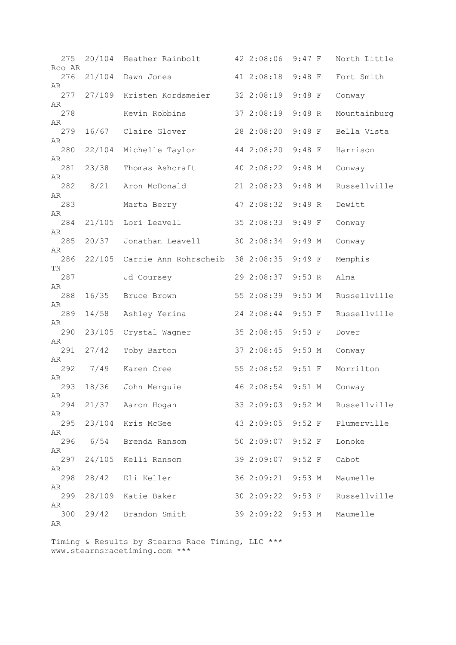| 275<br>Rco AR | 20/104 | Heather Rainbolt                 | 42 2:08:06        | $9:47$ F | North Little |
|---------------|--------|----------------------------------|-------------------|----------|--------------|
| 276           | 21/104 | Dawn Jones                       | 41 2:08:18        | $9:48$ F | Fort Smith   |
| AR<br>277     | 27/109 | Kristen Kordsmeier               | 32 2:08:19        | $9:48$ F | Conway       |
| AR<br>278     |        | Kevin Robbins                    | 37 2:08:19        | $9:48$ R | Mountainburg |
| AR<br>279     | 16/67  | Claire Glover                    | 28 2:08:20        | $9:48$ F | Bella Vista  |
| AR<br>280     |        |                                  | 44 2:08:20        | $9:48$ F | Harrison     |
| AR            | 22/104 | Michelle Taylor                  |                   |          |              |
| 281<br>AR     | 23/38  | Thomas Ashcraft                  | 40 2:08:22        | $9:48$ M | Conway       |
| 282<br>AR     | 8/21   | Aron McDonald                    | 21 2:08:23        | $9:48$ M | Russellville |
| 283           |        | Marta Berry                      | 47 2:08:32        | $9:49$ R | Dewitt       |
| AR<br>284     |        | 21/105 Lori Leavell              | 35 2:08:33        | $9:49$ F | Conway       |
| AR<br>285     | 20/37  | Jonathan Leavell                 | 30 2:08:34        | $9:49$ M | Conway       |
| AR            |        |                                  |                   |          |              |
| 286<br>ΤN     | 22/105 | Carrie Ann Rohrscheib 38 2:08:35 |                   | 9:49 F   | Memphis      |
| 287<br>AR     |        | Jd Coursey                       | 29 2:08:37        | 9:50 R   | Alma         |
| 288<br>AR     | 16/35  | Bruce Brown                      | 55 2:08:39        | $9:50$ M | Russellville |
| 289           | 14/58  | Ashley Yerina                    | 24 2:08:44        | $9:50$ F | Russellville |
| AR<br>290     | 23/105 | Crystal Wagner                   | 35 2:08:45        | 9:50 F   | Dover        |
| AR<br>291     | 27/42  | Toby Barton                      | 37 2:08:45        | $9:50$ M | Conway       |
| AR<br>292     | 7/49   | Karen Cree                       | 55 2:08:52        | $9:51$ F | Morrilton    |
| AR            |        |                                  |                   |          |              |
| 293<br>AR     | 18/36  | John Merguie                     | 46 2:08:54 9:51 M |          | Conway       |
| 294<br>AR     |        | 21/37 Aaron Hogan                | 33 2:09:03 9:52 M |          | Russellville |
| 295<br>AR     |        | 23/104 Kris McGee                | 43 2:09:05        | $9:52$ F | Plumerville  |
| 296           | 6/54   | Brenda Ransom                    | 50 2:09:07        | $9:52$ F | Lonoke       |
| AR<br>297     | 24/105 | Kelli Ransom                     | 39 2:09:07        | $9:52$ F | Cabot        |
| AR<br>298     | 28/42  | Eli Keller                       | 36 2:09:21 9:53 M |          | Maumelle     |
| AR<br>299     | 28/109 | Katie Baker                      | 30 2:09:22 9:53 F |          | Russellville |
| AR            |        |                                  |                   |          |              |
| 300<br>AR     | 29/42  | Brandon Smith                    | 39 2:09:22 9:53 M |          | Maumelle     |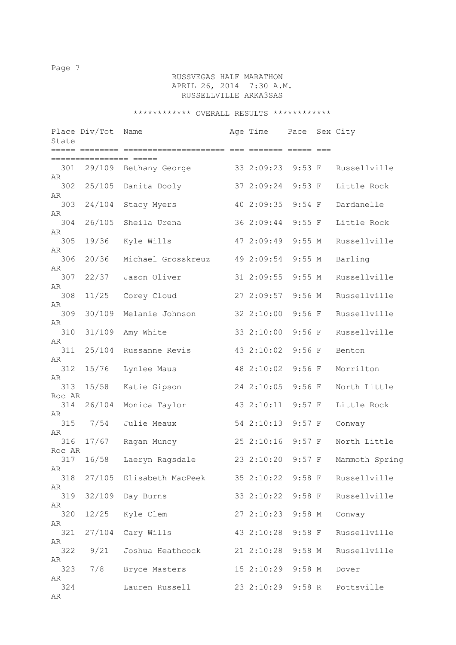# RUSSVEGAS HALF MARATHON APRIL 26, 2014 7:30 A.M. RUSSELLVILLE ARKA3SAS

| State           | Place Div/Tot Name |                                            | Age Time          | Pace     | Sex City       |
|-----------------|--------------------|--------------------------------------------|-------------------|----------|----------------|
|                 |                    |                                            |                   |          |                |
| AR              |                    | 301 29/109 Bethany George                  | 33 2:09:23        | $9:53$ F | Russellville   |
| 302<br>AR       | 25/105             | Danita Dooly                               | 37 2:09:24        | $9:53$ F | Little Rock    |
| 303<br>AR       | 24/104             | Stacy Myers                                | 40 2:09:35        | $9:54$ F | Dardanelle     |
| 304<br>AR       | 26/105             | Sheila Urena                               | 36 2:09:44        | $9:55$ F | Little Rock    |
| 305             | 19/36              | Kyle Wills                                 | 47 2:09:49        | 9:55 M   | Russellville   |
| AR<br>306       | 20/36              | Michael Grosskreuz                         | 49 2:09:54        | 9:55 M   | Barling        |
| AR<br>307       | 22/37              | Jason Oliver                               | 31 2:09:55        | 9:55 M   | Russellville   |
| AR<br>308       | 11/25              | Corey Cloud                                | 27 2:09:57        | $9:56$ M | Russellville   |
| AR<br>309       | 30/109             | Melanie Johnson                            | 32 2:10:00        | $9:56$ F | Russellville   |
| AR<br>310       | 31/109             | Amy White                                  | 33 2:10:00        | $9:56$ F | Russellville   |
| AR<br>311       | 25/104             | Russanne Revis                             | 43 2:10:02        | $9:56$ F | Benton         |
| AR<br>312       | 15/76              | Lynlee Maus                                | 48 2:10:02        | $9:56$ F | Morrilton      |
| AR<br>313       | 15/58              | Katie Gipson                               | 24 2:10:05        | $9:56$ F | North Little   |
| Roc AR<br>314   | 26/104             | Monica Taylor                              | 43 2:10:11        | $9:57$ F | Little Rock    |
| AR<br>315       | 7/54               | Julie Meaux                                | 54 2:10:13        | $9:57$ F | Conway         |
| AR<br>316       | 17/67              | Ragan Muncy                                | 25 2:10:16        | $9:57$ F | North Little   |
| Roc AR<br>317   | 16/58              | Laeryn Ragsdale                            | 23 2:10:20        | $9:57$ F | Mammoth Spring |
| AR<br>318       |                    | 27/105 Elisabeth MacPeek 35 2:10:22 9:58 F |                   |          | Russellville   |
| AR<br>319       | 32/109             | Day Burns                                  | 33 2:10:22 9:58 F |          | Russellville   |
| AR<br>320       | 12/25              | Kyle Clem                                  | 27 2:10:23 9:58 M |          | Conway         |
| AR<br>321       | 27/104             | Cary Wills                                 | 43 2:10:28 9:58 F |          | Russellville   |
| AR              | 322 9/21           | Joshua Heathcock                           | 21 2:10:28 9:58 M |          | Russellville   |
| AR<br>323       | 7/8                | Bryce Masters                              | 15 2:10:29 9:58 M |          | Dover          |
| AR<br>324<br>AR |                    | Lauren Russell                             | 23 2:10:29 9:58 R |          | Pottsville     |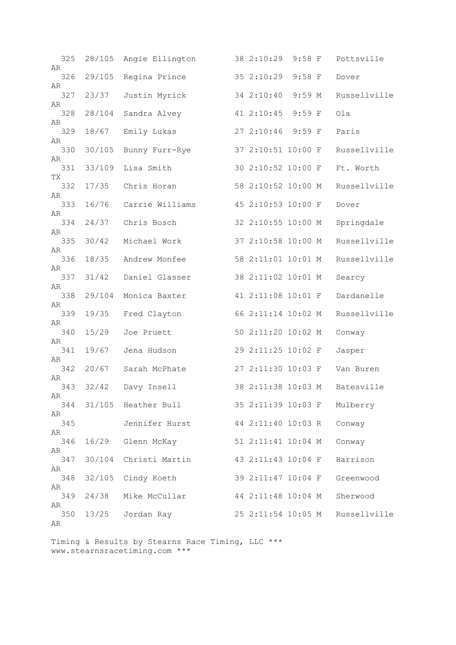| 325<br>AR | 28/105 | Angie Ellington     | 38 2:10:29         | $9:58$ F | Pottsville   |
|-----------|--------|---------------------|--------------------|----------|--------------|
| 326<br>AR | 29/105 | Regina Prince       | 35 2:10:29         | $9:58$ F | Dover        |
| 327       | 23/37  | Justin Myrick       | 34 2:10:40         | $9:59$ M | Russellville |
| AR<br>328 | 28/104 | Sandra Alvey        | 41 2:10:45         | $9:59$ F | Ola          |
| AR<br>329 | 18/67  | Emily Lukas         | 27 2:10:46         | $9:59$ F | Paris        |
| AR<br>330 | 30/105 | Bunny Furr-Rye      | 37 2:10:51 10:00 F |          | Russellville |
| AR<br>331 | 33/109 | Lisa Smith          | 30 2:10:52 10:00 F |          | Ft. Worth    |
| ТX<br>332 | 17/35  | Chris Horan         | 58 2:10:52 10:00 M |          | Russellville |
| AR<br>333 | 16/76  | Carrie Williams     | 45 2:10:53 10:00 F |          | Dover        |
| AR<br>334 | 24/37  | Chris Bosch         | 32 2:10:55 10:00 M |          | Springdale   |
| AR<br>335 | 30/42  | Michael Work        | 37 2:10:58 10:00 M |          | Russellville |
| AR        |        |                     |                    |          | Russellville |
| 336<br>AR | 18/35  | Andrew Monfee       | 58 2:11:01 10:01 M |          |              |
| 337<br>AR | 31/42  | Daniel Glasser      | 38 2:11:02 10:01 M |          | Searcy       |
| 338<br>AR | 29/104 | Monica Baxter       | 41 2:11:08 10:01 F |          | Dardanelle   |
| 339<br>AR | 19/35  | Fred Clayton        | 66 2:11:14 10:02 M |          | Russellville |
| 340<br>AR | 15/29  | Joe Pruett          | 50 2:11:20 10:02 M |          | Conway       |
| 341       | 19/67  | Jena Hudson         | 29 2:11:25 10:02 F |          | Jasper       |
| AR<br>342 | 20/67  | Sarah McPhate       | 27 2:11:30 10:03 F |          | Van Buren    |
| AR<br>343 | 32/42  | Davy Insell         | 38 2:11:38 10:03 M |          | Batesville   |
| AR<br>344 |        | 31/105 Heather Bull | 35 2:11:39 10:03 F |          | Mulberry     |
| AR<br>345 |        | Jennifer Hurst      | 44 2:11:40 10:03 R |          | Conway       |
| AR<br>346 | 16/29  | Glenn McKay         | 51 2:11:41 10:04 M |          | Conway       |
| AR<br>347 | 30/104 | Christi Martin      | 43 2:11:43 10:04 F |          | Harrison     |
| AR        |        |                     |                    |          |              |
| 348<br>AR | 32/105 | Cindy Koeth         | 39 2:11:47 10:04 F |          | Greenwood    |
| 349<br>AR | 24/38  | Mike McCullar       | 44 2:11:48 10:04 M |          | Sherwood     |
| 350<br>AR | 13/25  | Jordan Ray          | 25 2:11:54 10:05 M |          | Russellville |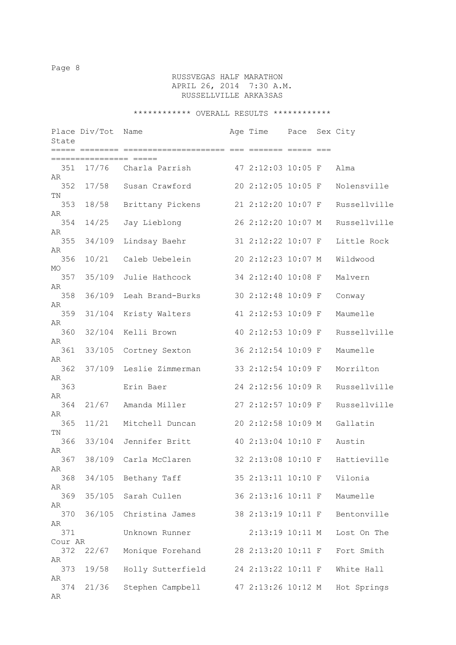# RUSSVEGAS HALF MARATHON APRIL 26, 2014 7:30 A.M. RUSSELLVILLE ARKA3SAS

|                 | Place Div/Tot | Name                 | Age Time           | Pace | Sex City     |
|-----------------|---------------|----------------------|--------------------|------|--------------|
| State           |               |                      |                    |      |              |
| 351<br>AR       |               | 17/76 Charla Parrish | 47 2:12:03 10:05 F |      | Alma         |
| 352             | 17/58         | Susan Crawford       | 20 2:12:05 10:05 F |      | Nolensville  |
| TN<br>353<br>AR | 18/58         | Brittany Pickens     | 21 2:12:20 10:07 F |      | Russellville |
| 354             | 14/25         | Jay Lieblong         | 26 2:12:20 10:07 M |      | Russellville |
| AR<br>355       | 34/109        | Lindsay Baehr        | 31 2:12:22 10:07 F |      | Little Rock  |
| AR<br>356       | 10/21         | Caleb Uebelein       | 20 2:12:23 10:07 M |      | Wildwood     |
| MO<br>357       | 35/109        | Julie Hathcock       | 34 2:12:40 10:08 F |      | Malvern      |
| AR<br>358       | 36/109        | Leah Brand-Burks     | 30 2:12:48 10:09 F |      | Conway       |
| AR<br>359       | 31/104        | Kristy Walters       | 41 2:12:53 10:09 F |      | Maumelle     |
| AR<br>360       | 32/104        | Kelli Brown          | 40 2:12:53 10:09 F |      | Russellville |
| AR<br>361       | 33/105        | Cortney Sexton       | 36 2:12:54 10:09 F |      | Maumelle     |
| AR<br>362       | 37/109        | Leslie Zimmerman     | 33 2:12:54 10:09 F |      | Morrilton    |
| AR<br>363       |               | Erin Baer            | 24 2:12:56 10:09 R |      | Russellville |
| AR<br>364       | 21/67         | Amanda Miller        | 27 2:12:57 10:09 F |      | Russellville |
| AR<br>365       | 11/21         | Mitchell Duncan      | 20 2:12:58 10:09 M |      | Gallatin     |
| TN<br>366       | 33/104        | Jennifer Britt       | 40 2:13:04 10:10 F |      | Austin       |
| AR<br>367       | 38/109        | Carla McClaren       | 32 2:13:08 10:10 F |      | Hattieville  |
| AR<br>368       | 34/105        | Bethany Taff         | 35 2:13:11 10:10 F |      | Vilonia      |
| AR<br>369       | 35/105        | Sarah Cullen         | 36 2:13:16 10:11 F |      | Maumelle     |
| AR<br>370       | 36/105        | Christina James      | 38 2:13:19 10:11 F |      | Bentonville  |
| AR<br>371       |               | Unknown Runner       | 2:13:19 10:11 M    |      | Lost On The  |
| Cour AR<br>372  | 22/67         | Monique Forehand     | 28 2:13:20 10:11 F |      | Fort Smith   |
| AR<br>373       | 19/58         | Holly Sutterfield    | 24 2:13:22 10:11 F |      | White Hall   |
| AR              |               |                      |                    |      |              |
| 374<br>AR       | 21/36         | Stephen Campbell     | 47 2:13:26 10:12 M |      | Hot Springs  |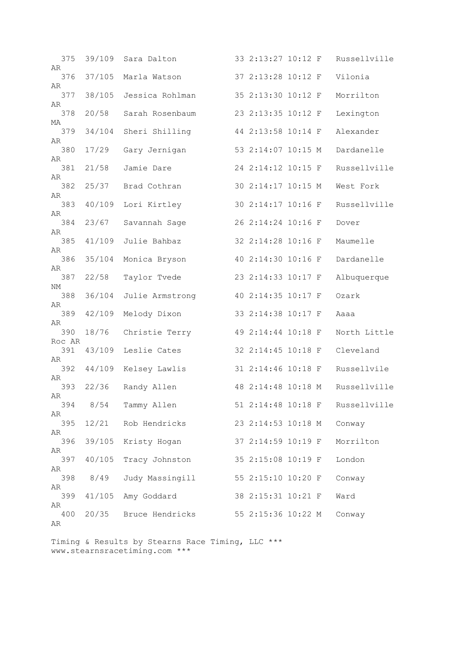| 375<br>AR     | 39/109 | Sara Dalton     | 33 2:13:27 10:12 F |  | Russellville |
|---------------|--------|-----------------|--------------------|--|--------------|
| 376           | 37/105 | Marla Watson    | 37 2:13:28 10:12 F |  | Vilonia      |
| AR<br>377     | 38/105 | Jessica Rohlman | 35 2:13:30 10:12 F |  | Morrilton    |
| AR<br>378     | 20/58  | Sarah Rosenbaum | 23 2:13:35 10:12 F |  | Lexington    |
| MA            |        |                 |                    |  |              |
| 379<br>AR     | 34/104 | Sheri Shilling  | 44 2:13:58 10:14 F |  | Alexander    |
| 380<br>AR     | 17/29  | Gary Jernigan   | 53 2:14:07 10:15 M |  | Dardanelle   |
| 381           | 21/58  | Jamie Dare      | 24 2:14:12 10:15 F |  | Russellville |
| AR<br>382     | 25/37  | Brad Cothran    | 30 2:14:17 10:15 M |  | West Fork    |
| AR<br>383     | 40/109 | Lori Kirtley    | 30 2:14:17 10:16 F |  | Russellville |
| AR            |        |                 |                    |  |              |
| 384<br>AR     | 23/67  | Savannah Sage   | 26 2:14:24 10:16 F |  | Dover        |
| 385<br>AR     | 41/109 | Julie Bahbaz    | 32 2:14:28 10:16 F |  | Maumelle     |
| 386           | 35/104 | Monica Bryson   | 40 2:14:30 10:16 F |  | Dardanelle   |
| AR<br>387     | 22/58  | Taylor Tvede    | 23 2:14:33 10:17 F |  | Albuquerque  |
| NΜ<br>388     | 36/104 | Julie Armstrong | 40 2:14:35 10:17 F |  | Ozark        |
| AR<br>389     | 42/109 | Melody Dixon    | 33 2:14:38 10:17 F |  | Aaaa         |
| AR<br>390     | 18/76  | Christie Terry  | 49 2:14:44 10:18 F |  | North Little |
| Roc AR<br>391 | 43/109 | Leslie Cates    | 32 2:14:45 10:18 F |  | Cleveland    |
| AR            |        |                 |                    |  |              |
| 392<br>AR     | 44/109 | Kelsey Lawlis   | 31 2:14:46 10:18 F |  | Russellvile  |
| 393<br>AR     | 22/36  | Randy Allen     | 48 2:14:48 10:18 M |  | Russellville |
| 394           | 8/54   | Tammy Allen     | 51 2:14:48 10:18 F |  | Russellville |
| AR<br>395     | 12/21  | Rob Hendricks   | 23 2:14:53 10:18 M |  | Conway       |
| AR<br>396     | 39/105 |                 | 37 2:14:59 10:19 F |  | Morrilton    |
| AR            |        | Kristy Hogan    |                    |  |              |
| 397<br>AR     | 40/105 | Tracy Johnston  | 35 2:15:08 10:19 F |  | London       |
| 398           | 8/49   | Judy Massingill | 55 2:15:10 10:20 F |  | Conway       |
| AR<br>399     | 41/105 | Amy Goddard     | 38 2:15:31 10:21 F |  | Ward         |
| AR<br>400     | 20/35  | Bruce Hendricks | 55 2:15:36 10:22 M |  | Conway       |
| AR            |        |                 |                    |  |              |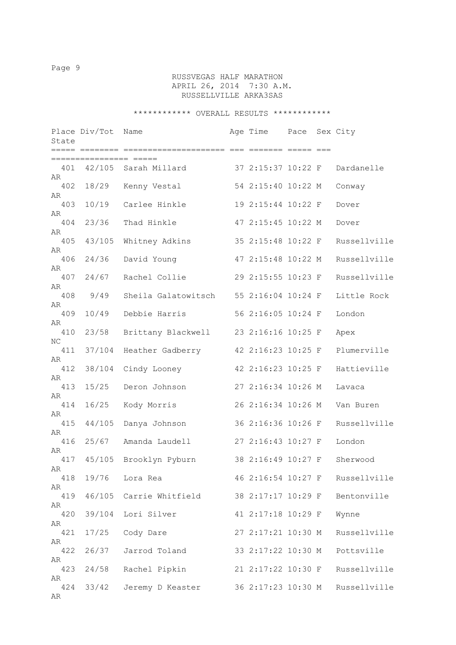# RUSSVEGAS HALF MARATHON APRIL 26, 2014 7:30 A.M. RUSSELLVILLE ARKA3SAS

| State           | Place Div/Tot    | Name                   | Age Time           | Pace Sex City |              |
|-----------------|------------------|------------------------|--------------------|---------------|--------------|
|                 | .=============== |                        |                    |               |              |
| 401<br>AR       |                  | 42/105 Sarah Millard   | 37 2:15:37 10:22 F |               | Dardanelle   |
| 402<br>AR       | 18/29            | Kenny Vestal           | 54 2:15:40 10:22 M |               | Conway       |
| 403<br>AR       | 10/19            | Carlee Hinkle          | 19 2:15:44 10:22 F |               | Dover        |
| 404<br>AR       | 23/36            | Thad Hinkle            | 47 2:15:45 10:22 M |               | Dover        |
| 405<br>AR       | 43/105           | Whitney Adkins         | 35 2:15:48 10:22 F |               | Russellville |
| 406<br>AR       | 24/36            | David Young            | 47 2:15:48 10:22 M |               | Russellville |
| 407<br>AR       | 24/67            | Rachel Collie          | 29 2:15:55 10:23 F |               | Russellville |
| 408<br>AR       | 9/49             | Sheila Galatowitsch    | 55 2:16:04 10:24 F |               | Little Rock  |
| 409<br>AR       | 10/49            | Debbie Harris          | 56 2:16:05 10:24 F |               | London       |
| 410<br>NC       | 23/58            | Brittany Blackwell     | 23 2:16:16 10:25 F |               | Apex         |
| 411<br>AR       | 37/104           | Heather Gadberry       | 42 2:16:23 10:25 F |               | Plumerville  |
| 412<br>AR       | 38/104           | Cindy Looney           | 42 2:16:23 10:25 F |               | Hattieville  |
| 413<br>AR       | 15/25            | Deron Johnson          | 27 2:16:34 10:26 M |               | Lavaca       |
| 414<br>AR       | 16/25            | Kody Morris            | 26 2:16:34 10:26 M |               | Van Buren    |
| 415<br>AR       | 44/105           | Danya Johnson          | 36 2:16:36 10:26 F |               | Russellville |
| 416<br>AR       | 25/67            | Amanda Laudell         | 27 2:16:43 10:27 F |               | London       |
| 417<br>AR       |                  | 45/105 Brooklyn Pyburn | 38 2:16:49 10:27 F |               | Sherwood     |
| 418<br>AR       | 19/76            | Lora Rea               | 46 2:16:54 10:27 F |               | Russellville |
| 419             | 46/105           | Carrie Whitfield       | 38 2:17:17 10:29 F |               | Bentonville  |
| AR<br>420       | 39/104           | Lori Silver            | 41 2:17:18 10:29 F |               | Wynne        |
| AR<br>421       | 17/25            | Cody Dare              | 27 2:17:21 10:30 M |               | Russellville |
| AR<br>422       | 26/37            | Jarrod Toland          | 33 2:17:22 10:30 M |               | Pottsville   |
| AR<br>423       | 24/58            | Rachel Pipkin          | 21 2:17:22 10:30 F |               | Russellville |
| AR<br>424<br>AR | 33/42            | Jeremy D Keaster       | 36 2:17:23 10:30 M |               | Russellville |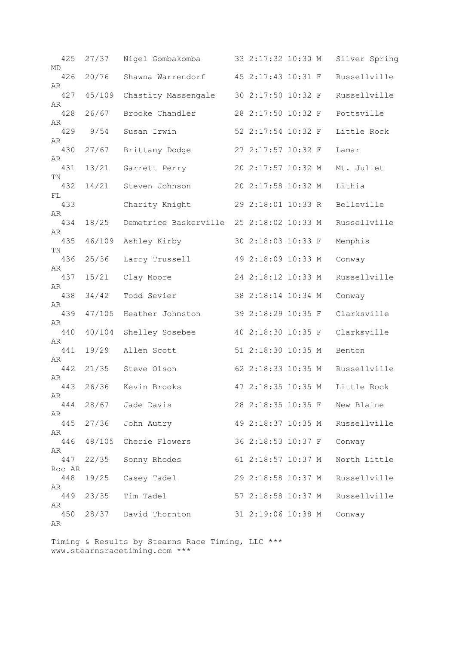| 425<br>MD     | 27/37  | Nigel Gombakomba                         | 33 2:17:32 10:30 M |  | Silver Spring                 |
|---------------|--------|------------------------------------------|--------------------|--|-------------------------------|
| 426           | 20/76  | Shawna Warrendorf                        | 45 2:17:43 10:31 F |  | Russellville                  |
| AR<br>427     | 45/109 | Chastity Massengale                      | 30 2:17:50 10:32 F |  | Russellville                  |
| AR<br>428     | 26/67  | Brooke Chandler                          | 28 2:17:50 10:32 F |  | Pottsville                    |
| AR<br>429     | 9/54   | Susan Irwin                              | 52 2:17:54 10:32 F |  | Little Rock                   |
| AR<br>430     | 27/67  | Brittany Dodge                           | 27 2:17:57 10:32 F |  | Lamar                         |
| AR            |        |                                          |                    |  |                               |
| 431<br>TN     | 13/21  | Garrett Perry                            | 20 2:17:57 10:32 M |  | Mt. Juliet                    |
| 432<br>FL     | 14/21  | Steven Johnson                           | 20 2:17:58 10:32 M |  | Lithia                        |
| 433<br>AR     |        | Charity Knight                           | 29 2:18:01 10:33 R |  | Belleville                    |
| 434           | 18/25  | Demetrice Baskerville 25 2:18:02 10:33 M |                    |  | Russellville                  |
| AR<br>435     | 46/109 | Ashley Kirby                             | 30 2:18:03 10:33 F |  | Memphis                       |
| TN<br>436     | 25/36  | Larry Trussell                           | 49 2:18:09 10:33 M |  | Conway                        |
| AR<br>437     | 15/21  | Clay Moore                               | 24 2:18:12 10:33 M |  | Russellville                  |
| AR<br>438     | 34/42  | Todd Sevier                              | 38 2:18:14 10:34 M |  | Conway                        |
| AR            |        |                                          |                    |  |                               |
| 439<br>AR     | 47/105 | Heather Johnston                         | 39 2:18:29 10:35 F |  | Clarksville                   |
| 440<br>AR     | 40/104 | Shelley Sosebee                          | 40 2:18:30 10:35 F |  | Clarksville                   |
| 441<br>AR     | 19/29  | Allen Scott                              | 51 2:18:30 10:35 M |  | Benton                        |
| 442           | 21/35  | Steve Olson                              | 62 2:18:33 10:35 M |  | Russellville                  |
| AR<br>443     | 26/36  | Kevin Brooks                             | 47 2:18:35 10:35 M |  | Little Rock                   |
| AR<br>444     | 28/67  | Jade Davis                               |                    |  | 28 2:18:35 10:35 F New Blaine |
| AR<br>445     | 27/36  |                                          | 49 2:18:37 10:35 M |  | Russellville                  |
| AR            |        | John Autry                               |                    |  |                               |
| 446<br>AR     | 48/105 | Cherie Flowers                           | 36 2:18:53 10:37 F |  | Conway                        |
| 447<br>Roc AR | 22/35  | Sonny Rhodes                             | 61 2:18:57 10:37 M |  | North Little                  |
| 448           | 19/25  | Casey Tadel                              | 29 2:18:58 10:37 M |  | Russellville                  |
| AR<br>449     | 23/35  | Tim Tadel                                | 57 2:18:58 10:37 M |  | Russellville                  |
| AR<br>450     | 28/37  | David Thornton                           | 31 2:19:06 10:38 M |  | Conway                        |
| AR            |        |                                          |                    |  |                               |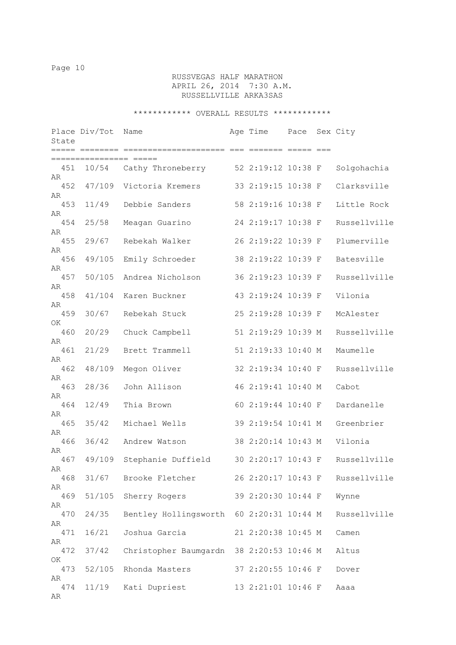# RUSSVEGAS HALF MARATHON APRIL 26, 2014 7:30 A.M. RUSSELLVILLE ARKA3SAS

| State           | Place Div/Tot   | Name                    | Age Time           | Pace | Sex City     |
|-----------------|-----------------|-------------------------|--------------------|------|--------------|
|                 | =============== |                         |                    |      |              |
| 451<br>AR       |                 | 10/54 Cathy Throneberry | 52 2:19:12 10:38 F |      | Solgohachia  |
| 452             | 47/109          | Victoria Kremers        | 33 2:19:15 10:38 F |      | Clarksville  |
| AR<br>453       | 11/49           | Debbie Sanders          | 58 2:19:16 10:38 F |      | Little Rock  |
| AR<br>454<br>AR | 25/58           | Meagan Guarino          | 24 2:19:17 10:38 F |      | Russellville |
| 455             | 29/67           | Rebekah Walker          | 26 2:19:22 10:39 F |      | Plumerville  |
| AR<br>456       | 49/105          | Emily Schroeder         | 38 2:19:22 10:39 F |      | Batesville   |
| AR<br>457       | 50/105          | Andrea Nicholson        | 36 2:19:23 10:39 F |      | Russellville |
| AR<br>458       | 41/104          | Karen Buckner           | 43 2:19:24 10:39 F |      | Vilonia      |
| AR<br>459       | 30/67           | Rebekah Stuck           | 25 2:19:28 10:39 F |      | McAlester    |
| ΟK              |                 |                         |                    |      |              |
| 460<br>AR       | 20/29           | Chuck Campbell          | 51 2:19:29 10:39 M |      | Russellville |
| 461<br>AR       | 21/29           | Brett Trammell          | 51 2:19:33 10:40 M |      | Maumelle     |
| 462<br>AR       | 48/109          | Megon Oliver            | 32 2:19:34 10:40 F |      | Russellville |
| 463             | 28/36           | John Allison            | 46 2:19:41 10:40 M |      | Cabot        |
| AR<br>464       | 12/49           | Thia Brown              | 60 2:19:44 10:40 F |      | Dardanelle   |
| AR<br>465       | 35/42           | Michael Wells           | 39 2:19:54 10:41 M |      | Greenbrier   |
| AR<br>466       | 36/42           | Andrew Watson           | 38 2:20:14 10:43 M |      | Vilonia      |
| AR<br>467       | 49/109          | Stephanie Duffield      | 30 2:20:17 10:43 F |      | Russellville |
| AR              |                 |                         |                    |      |              |
| 468<br>AR       | 31/67           | Brooke Fletcher         | 26 2:20:17 10:43 F |      | Russellville |
| 469<br>AR       | 51/105          | Sherry Rogers           | 39 2:20:30 10:44 F |      | Wynne        |
| 470             | 24/35           | Bentley Hollingsworth   | 60 2:20:31 10:44 M |      | Russellville |
| AR<br>471       | 16/21           | Joshua Garcia           | 21 2:20:38 10:45 M |      | Camen        |
| AR<br>472       | 37/42           | Christopher Baumgardn   | 38 2:20:53 10:46 M |      | Altus        |
| OK<br>473       | 52/105          | Rhonda Masters          | 37 2:20:55 10:46 F |      | Dover        |
| AR<br>474       | 11/19           | Kati Dupriest           | 13 2:21:01 10:46 F |      | Aaaa         |
| AR              |                 |                         |                    |      |              |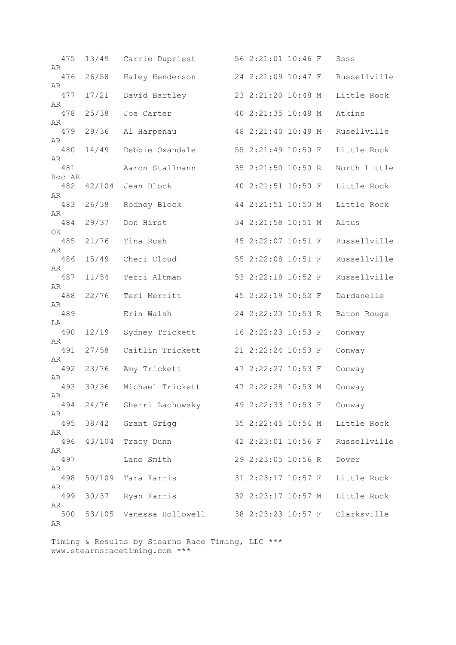| 475<br>AR     | 13/49  | Carrie Dupriest                                 | 56 2:21:01 10:46 F |  | Ssss         |
|---------------|--------|-------------------------------------------------|--------------------|--|--------------|
| 476           | 26/58  | Haley Henderson                                 | 24 2:21:09 10:47 F |  | Russellville |
| AR<br>477     | 17/21  | David Bartley                                   | 23 2:21:20 10:48 M |  | Little Rock  |
| AR            |        |                                                 |                    |  |              |
| 478<br>AR     | 25/38  | Joe Carter                                      | 40 2:21:35 10:49 M |  | Atkins       |
| 479<br>AR     | 29/36  | Al Harpenau                                     | 48 2:21:40 10:49 M |  | Rusellville  |
| 480           | 14/49  | Debbie Oxandale                                 | 55 2:21:49 10:50 F |  | Little Rock  |
| AR<br>481     |        | Aaron Stallmann                                 | 35 2:21:50 10:50 R |  | North Little |
| Roc AR<br>482 | 42/104 | Jean Block                                      | 40 2:21:51 10:50 F |  | Little Rock  |
| AR<br>483     | 26/38  | Rodney Block                                    | 44 2:21:51 10:50 M |  | Little Rock  |
| AR<br>484     | 29/37  | Don Hirst                                       | 34 2:21:58 10:51 M |  | Altus        |
| OK.           |        |                                                 |                    |  |              |
| 485<br>AR     | 21/76  | Tina Rush                                       | 45 2:22:07 10:51 F |  | Russellville |
| 486           | 15/49  | Cheri Cloud                                     | 55 2:22:08 10:51 F |  | Russellville |
| AR<br>487     | 11/54  | Terri Altman                                    | 53 2:22:18 10:52 F |  | Russellville |
| AR<br>488     | 22/76  | Teri Merritt                                    | 45 2:22:19 10:52 F |  | Dardanelle   |
| AR<br>489     |        | Erin Walsh                                      | 24 2:22:23 10:53 R |  | Baton Rouge  |
| LA            |        |                                                 |                    |  |              |
| 490<br>AR     | 12/19  | Sydney Trickett                                 | 16 2:22:23 10:53 F |  | Conway       |
| 491<br>AR     | 27/58  | Caitlin Trickett                                | 21 2:22:24 10:53 F |  | Conway       |
| 492           | 23/76  | Amy Trickett                                    | 47 2:22:27 10:53 F |  | Conway       |
| AR<br>493     | 30/36  | Michael Trickett                                | 47 2:22:28 10:53 M |  | Conway       |
| AR<br>494     |        | 24/76 Sherri Lachowsky 49 2:22:33 10:53 F       |                    |  | Conway       |
| AR            |        |                                                 |                    |  |              |
| 495<br>AR     |        | 38/42 Grant Grigg                               | 35 2:22:45 10:54 M |  | Little Rock  |
| 496           | 43/104 | Tracy Dunn                                      | 42 2:23:01 10:56 F |  | Russellville |
| AR<br>497     |        | Lane Smith                                      | 29 2:23:05 10:56 R |  | Dover        |
| AR<br>498     |        | 50/109 Tara Farris                              | 31 2:23:17 10:57 F |  | Little Rock  |
| AR<br>499     |        | 30/37 Ryan Farris                               | 32 2:23:17 10:57 M |  | Little Rock  |
| AR            |        |                                                 |                    |  |              |
| 500<br>AR     |        | 53/105  Vanessa Hollowell  38 2:23:23  10:57  F |                    |  | Clarksville  |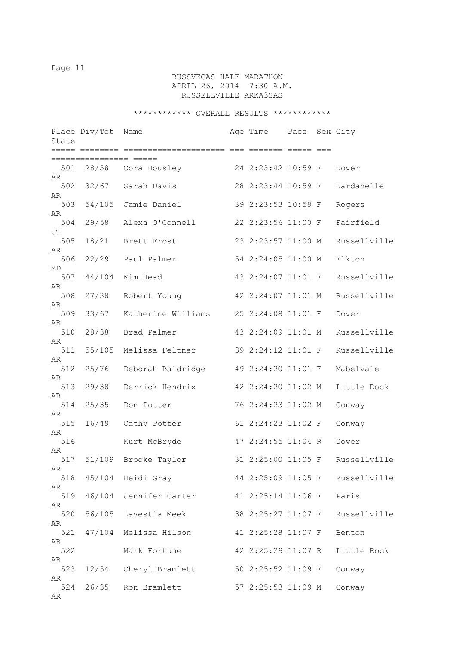# RUSSVEGAS HALF MARATHON APRIL 26, 2014 7:30 A.M. RUSSELLVILLE ARKA3SAS

| State     | Place Div/Tot | Name                   | Age Time           | Pace | Sex City                        |
|-----------|---------------|------------------------|--------------------|------|---------------------------------|
|           | ============= |                        |                    |      |                                 |
| 501<br>AR |               | 28/58 Cora Housley     | 24 2:23:42 10:59 F |      | Dover                           |
| 502<br>AR | 32/67         | Sarah Davis            | 28 2:23:44 10:59 F |      | Dardanelle                      |
| 503<br>AR | 54/105        | Jamie Daniel           | 39 2:23:53 10:59 F |      | Rogers                          |
| 504       | 29/58         | Alexa O'Connell        | 22 2:23:56 11:00 F |      | Fairfield                       |
| CT<br>505 | 18/21         | Brett Frost            | 23 2:23:57 11:00 M |      | Russellville                    |
| AR<br>506 | 22/29         | Paul Palmer            | 54 2:24:05 11:00 M |      | Elkton                          |
| MD<br>507 | 44/104        | Kim Head               | 43 2:24:07 11:01 F |      | Russellville                    |
| AR<br>508 | 27/38         | Robert Young           | 42 2:24:07 11:01 M |      | Russellville                    |
| AR<br>509 | 33/67         | Katherine Williams     | 25 2:24:08 11:01 F |      | Dover                           |
| AR<br>510 | 28/38         | Brad Palmer            | 43 2:24:09 11:01 M |      | Russellville                    |
| AR<br>511 | 55/105        | Melissa Feltner        | 39 2:24:12 11:01 F |      | Russellville                    |
| AR<br>512 | 25/76         | Deborah Baldridge      | 49 2:24:20 11:01 F |      | Mabelvale                       |
| AR<br>513 | 29/38         | Derrick Hendrix        | 42 2:24:20 11:02 M |      | Little Rock                     |
| AR<br>514 | 25/35         | Don Potter             | 76 2:24:23 11:02 M |      | Conway                          |
| AR<br>515 | 16/49         | Cathy Potter           | 61 2:24:23 11:02 F |      | Conway                          |
| AR<br>516 |               | Kurt McBryde           | 47 2:24:55 11:04 R |      | Dover                           |
| AR<br>517 |               | 51/109 Brooke Taylor   | 31 2:25:00 11:05 F |      | Russellville                    |
| AR        |               | 518 45/104 Heidi Gray  |                    |      | 44 2:25:09 11:05 F Russellville |
| AR<br>519 |               | 46/104 Jennifer Carter | 41 2:25:14 11:06 F |      | Paris                           |
| AR<br>520 | 56/105        | Lavestia Meek          | 38 2:25:27 11:07 F |      | Russellville                    |
| AR<br>521 | 47/104        | Melissa Hilson         | 41 2:25:28 11:07 F |      | Benton                          |
| AR<br>522 |               | Mark Fortune           | 42 2:25:29 11:07 R |      | Little Rock                     |
| AR<br>523 |               | 12/54 Cheryl Bramlett  | 50 2:25:52 11:09 F |      | Conway                          |
| AR<br>524 | 26/35         | Ron Bramlett           | 57 2:25:53 11:09 M |      | Conway                          |
| AR        |               |                        |                    |      |                                 |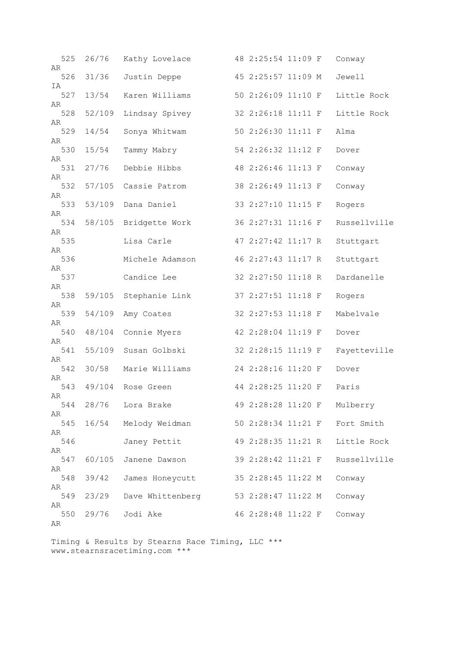| 525<br>AR | 26/76  | Kathy Lovelace       | 48 2:25:54 11:09 F |  | Conway       |
|-----------|--------|----------------------|--------------------|--|--------------|
| 526<br>ΙA | 31/36  | Justin Deppe         | 45 2:25:57 11:09 M |  | Jewell       |
| 527       | 13/54  | Karen Williams       | 50 2:26:09 11:10 F |  | Little Rock  |
| AR<br>528 | 52/109 | Lindsay Spivey       | 32 2:26:18 11:11 F |  | Little Rock  |
| AR<br>529 | 14/54  | Sonya Whitwam        | 50 2:26:30 11:11 F |  | Alma         |
| AR<br>530 | 15/54  | Tammy Mabry          | 54 2:26:32 11:12 F |  | Dover        |
| AR<br>531 | 27/76  | Debbie Hibbs         | 48 2:26:46 11:13 F |  | Conway       |
| AR<br>532 | 57/105 | Cassie Patrom        | 38 2:26:49 11:13 F |  | Conway       |
| AR<br>533 | 53/109 | Dana Daniel          | 33 2:27:10 11:15 F |  | Rogers       |
| AR<br>534 | 58/105 | Bridgette Work       | 36 2:27:31 11:16 F |  | Russellville |
| AR<br>535 |        | Lisa Carle           | 47 2:27:42 11:17 R |  | Stuttgart    |
| AR        |        |                      |                    |  |              |
| 536<br>AR |        | Michele Adamson      | 46 2:27:43 11:17 R |  | Stuttgart    |
| 537<br>AR |        | Candice Lee          | 32 2:27:50 11:18 R |  | Dardanelle   |
| 538<br>AR | 59/105 | Stephanie Link       | 37 2:27:51 11:18 F |  | Rogers       |
| 539<br>AR | 54/109 | Amy Coates           | 32 2:27:53 11:18 F |  | Mabelvale    |
| 540       | 48/104 | Connie Myers         | 42 2:28:04 11:19 F |  | Dover        |
| AR<br>541 | 55/109 | Susan Golbski        | 32 2:28:15 11:19 F |  | Fayetteville |
| AR<br>542 | 30/58  | Marie Williams       | 24 2:28:16 11:20 F |  | Dover        |
| AR<br>543 |        | 49/104 Rose Green    | 44 2:28:25 11:20 F |  | Paris        |
| AR<br>544 |        | 28/76 Lora Brake     | 49 2:28:28 11:20 F |  | Mulberry     |
| AR<br>545 |        | 16/54 Melody Weidman | 50 2:28:34 11:21 F |  | Fort Smith   |
| AR        |        |                      |                    |  |              |
| 546<br>AR |        | Janey Pettit         | 49 2:28:35 11:21 R |  | Little Rock  |
| 547<br>AR | 60/105 | Janene Dawson        | 39 2:28:42 11:21 F |  | Russellville |
| 548<br>AR | 39/42  | James Honeycutt      | 35 2:28:45 11:22 M |  | Conway       |
| 549       | 23/29  | Dave Whittenberg     | 53 2:28:47 11:22 M |  | Conway       |
| AR<br>550 | 29/76  | Jodi Ake             | 46 2:28:48 11:22 F |  | Conway       |
| AR        |        |                      |                    |  |              |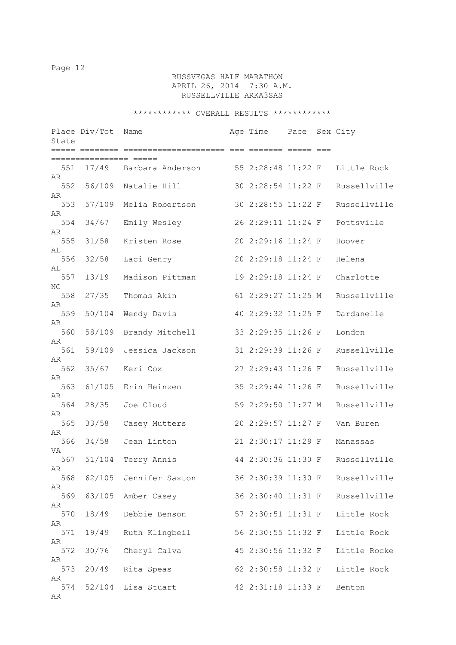# RUSSVEGAS HALF MARATHON APRIL 26, 2014 7:30 A.M. RUSSELLVILLE ARKA3SAS

| State           | Place Div/Tot                              | Name                                 | Age Time Pace Sex City |  |              |
|-----------------|--------------------------------------------|--------------------------------------|------------------------|--|--------------|
|                 | ===== ======== =======<br>;=============== | ============== === ======= ===== === |                        |  |              |
| 551<br>AR       |                                            | 17/49 Barbara Anderson               | 55 2:28:48 11:22 F     |  | Little Rock  |
| 552<br>AR       |                                            | 56/109 Natalie Hill                  | 30 2:28:54 11:22 F     |  | Russellville |
| 553             | 57/109                                     | Melia Robertson                      | 30 2:28:55 11:22 F     |  | Russellville |
| AR<br>554       | 34/67                                      | Emily Wesley                         | 26 2:29:11 11:24 F     |  | Pottsviile   |
| AR<br>555       | 31/58                                      | Kristen Rose                         | 20 2:29:16 11:24 F     |  | Hoover       |
| AL<br>556       | 32/58                                      | Laci Genry                           | 20 2:29:18 11:24 F     |  | Helena       |
| AL<br>557       | 13/19                                      | Madison Pittman                      | 19 2:29:18 11:24 F     |  | Charlotte    |
| NC<br>558       | 27/35                                      | Thomas Akin                          | 61 2:29:27 11:25 M     |  | Russellville |
| AR<br>559       | 50/104                                     | Wendy Davis                          | 40 2:29:32 11:25 F     |  | Dardanelle   |
| AR<br>560       | 58/109                                     | Brandy Mitchell                      | 33 2:29:35 11:26 F     |  | London       |
| AR<br>561       | 59/109                                     | Jessica Jackson                      | 31 2:29:39 11:26 F     |  | Russellville |
| AR<br>562       | 35/67                                      | Keri Cox                             | 27 2:29:43 11:26 F     |  | Russellville |
| AR<br>563       | 61/105                                     | Erin Heinzen                         | 35 2:29:44 11:26 F     |  | Russellville |
| AR<br>564       | 28/35                                      | Joe Cloud                            | 59 2:29:50 11:27 M     |  | Russellville |
| AR<br>565       | 33/58                                      | Casey Mutters                        | 20 2:29:57 11:27 F     |  | Van Buren    |
| AR<br>566       | 34/58                                      | Jean Linton                          | 21 2:30:17 11:29 F     |  | Manassas     |
| VA<br>567       | 51/104                                     | Terry Annis                          | 44 2:30:36 11:30 F     |  | Russellville |
| AR<br>568       |                                            | 62/105 Jennifer Saxton               | 36 2:30:39 11:30 F     |  | Russellville |
| AR<br>569       | 63/105                                     | Amber Casey                          | 36 2:30:40 11:31 F     |  | Russellville |
| AR<br>570       | 18/49                                      | Debbie Benson                        | 57 2:30:51 11:31 F     |  | Little Rock  |
| AR<br>571       | 19/49                                      | Ruth Klingbeil                       | 56 2:30:55 11:32 F     |  | Little Rock  |
| AR<br>572       | 30/76                                      | Cheryl Calva                         | 45 2:30:56 11:32 F     |  | Little Rocke |
| AR<br>573       | 20/49                                      | Rita Speas                           | 62 2:30:58 11:32 F     |  | Little Rock  |
| AR<br>574<br>AR | 52/104                                     | Lisa Stuart                          | 42 2:31:18 11:33 F     |  | Benton       |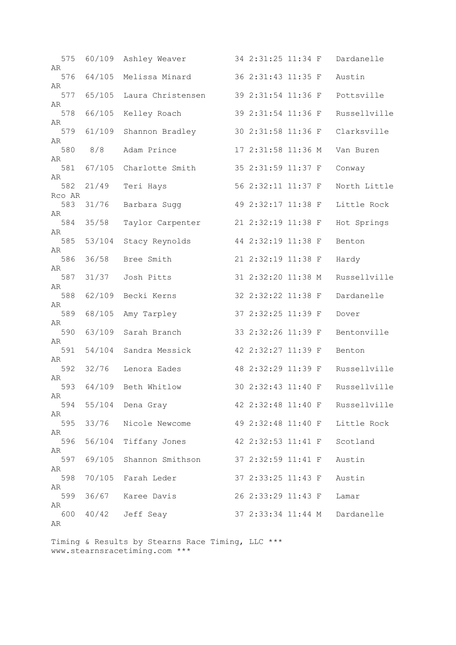| 575           | 60/109 | Ashley Weaver      | 34 2:31:25 11:34 F |  | Dardanelle                      |
|---------------|--------|--------------------|--------------------|--|---------------------------------|
| AR<br>576     | 64/105 | Melissa Minard     | 36 2:31:43 11:35 F |  | Austin                          |
| AR<br>577     | 65/105 | Laura Christensen  | 39 2:31:54 11:36 F |  | Pottsville                      |
| AR<br>578     | 66/105 | Kelley Roach       | 39 2:31:54 11:36 F |  | Russellville                    |
| AR<br>579     | 61/109 | Shannon Bradley    | 30 2:31:58 11:36 F |  | Clarksville                     |
| AR<br>580     | 8/8    | Adam Prince        | 17 2:31:58 11:36 M |  | Van Buren                       |
| AR<br>581     | 67/105 | Charlotte Smith    | 35 2:31:59 11:37 F |  | Conway                          |
| AR            |        |                    |                    |  |                                 |
| 582<br>Rco AR | 21/49  | Teri Hays          | 56 2:32:11 11:37 F |  | North Little                    |
| 583<br>AR     | 31/76  | Barbara Sugg       | 49 2:32:17 11:38 F |  | Little Rock                     |
| 584           | 35/58  | Taylor Carpenter   | 21 2:32:19 11:38 F |  | Hot Springs                     |
| AR<br>585     | 53/104 | Stacy Reynolds     | 44 2:32:19 11:38 F |  | Benton                          |
| AR<br>586     | 36/58  | Bree Smith         | 21 2:32:19 11:38 F |  | Hardy                           |
| AR<br>587     | 31/37  | Josh Pitts         | 31 2:32:20 11:38 M |  | Russellville                    |
| AR            |        |                    |                    |  |                                 |
| 588<br>AR     | 62/109 | Becki Kerns        | 32 2:32:22 11:38 F |  | Dardanelle                      |
| 589<br>AR     | 68/105 | Amy Tarpley        | 37 2:32:25 11:39 F |  | Dover                           |
| 590           | 63/109 | Sarah Branch       | 33 2:32:26 11:39 F |  | Bentonville                     |
| AR<br>591     | 54/104 | Sandra Messick     | 42 2:32:27 11:39 F |  | Benton                          |
| AR<br>592     | 32/76  | Lenora Eades       | 48 2:32:29 11:39 F |  | Russellville                    |
| AR            |        |                    |                    |  |                                 |
| 593<br>AR     | 64/109 | Beth Whitlow       | 30 2:32:43 11:40 F |  | Russellville                    |
| 594<br>AR     |        | 55/104 Dena Gray   |                    |  | 42 2:32:48 11:40 F Russellville |
| 595<br>AR     | 33/76  | Nicole Newcome     | 49 2:32:48 11:40 F |  | Little Rock                     |
| 596           | 56/104 | Tiffany Jones      | 42 2:32:53 11:41 F |  | Scotland                        |
| AR<br>597     | 69/105 | Shannon Smithson   | 37 2:32:59 11:41 F |  | Austin                          |
| AR<br>598     |        | 70/105 Farah Leder | 37 2:33:25 11:43 F |  | Austin                          |
| AR<br>599     |        |                    |                    |  |                                 |
| AR            |        | 36/67 Karee Davis  | 26 2:33:29 11:43 F |  | Lamar                           |
| 600<br>AR     |        | 40/42 Jeff Seay    | 37 2:33:34 11:44 M |  | Dardanelle                      |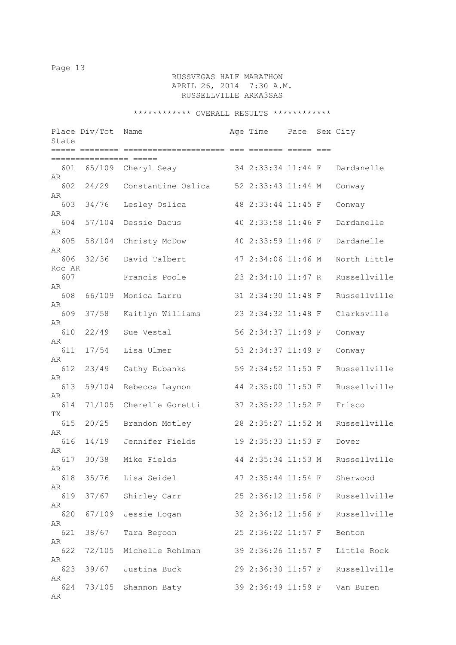# RUSSVEGAS HALF MARATHON APRIL 26, 2014 7:30 A.M. RUSSELLVILLE ARKA3SAS

| State         | Place Div/Tot<br>===== ======== | Name               | Age Time           | Pace | Sex City     |
|---------------|---------------------------------|--------------------|--------------------|------|--------------|
|               |                                 |                    |                    |      |              |
| 601<br>AR     | 65/109                          | Cheryl Seay        | 34 2:33:34 11:44 F |      | Dardanelle   |
| 602<br>AR     | 24/29                           | Constantine Oslica | 52 2:33:43 11:44 M |      | Conway       |
| 603           | 34/76                           | Lesley Oslica      | 48 2:33:44 11:45 F |      | Conway       |
| AR<br>604     | 57/104                          | Dessie Dacus       | 40 2:33:58 11:46 F |      | Dardanelle   |
| AR<br>605     | 58/104                          | Christy McDow      | 40 2:33:59 11:46 F |      | Dardanelle   |
| AR<br>606     | 32/36                           | David Talbert      | 47 2:34:06 11:46 M |      | North Little |
| Roc AR<br>607 |                                 | Francis Poole      | 23 2:34:10 11:47 R |      | Russellville |
| AR<br>608     | 66/109                          | Monica Larru       | 31 2:34:30 11:48 F |      | Russellville |
| AR<br>609     | 37/58                           | Kaitlyn Williams   | 23 2:34:32 11:48 F |      | Clarksville  |
| AR<br>610     | 22/49                           | Sue Vestal         | 56 2:34:37 11:49 F |      | Conway       |
| AR<br>611     | 17/54                           | Lisa Ulmer         | 53 2:34:37 11:49 F |      | Conway       |
| AR            |                                 |                    |                    |      |              |
| 612<br>AR     | 23/49                           | Cathy Eubanks      | 59 2:34:52 11:50 F |      | Russellville |
| 613<br>AR     | 59/104                          | Rebecca Laymon     | 44 2:35:00 11:50 F |      | Russellville |
| 614           | 71/105                          | Cherelle Goretti   | 37 2:35:22 11:52 F |      | Frisco       |
| ТX<br>615     | 20/25                           | Brandon Motley     | 28 2:35:27 11:52 M |      | Russellville |
| AR<br>616     | 14/19                           | Jennifer Fields    | 19 2:35:33 11:53 F |      | Dover        |
| AR<br>617     | 30/38                           | Mike Fields        | 44 2:35:34 11:53 M |      | Russellville |
| AR<br>618     | 35/76                           | Lisa Seidel        | 47 2:35:44 11:54 F |      | Sherwood     |
| AR<br>619     | 37/67                           | Shirley Carr       | 25 2:36:12 11:56 F |      | Russellville |
| AR<br>620     | 67/109                          | Jessie Hogan       | 32 2:36:12 11:56 F |      | Russellville |
| AR<br>621     | 38/67                           | Tara Begoon        | 25 2:36:22 11:57 F |      | Benton       |
| AR            |                                 |                    |                    |      |              |
| 622<br>AR     | 72/105                          | Michelle Rohlman   | 39 2:36:26 11:57 F |      | Little Rock  |
| 623<br>AR     | 39/67                           | Justina Buck       | 29 2:36:30 11:57 F |      | Russellville |
| 624<br>AR     | 73/105                          | Shannon Baty       | 39 2:36:49 11:59 F |      | Van Buren    |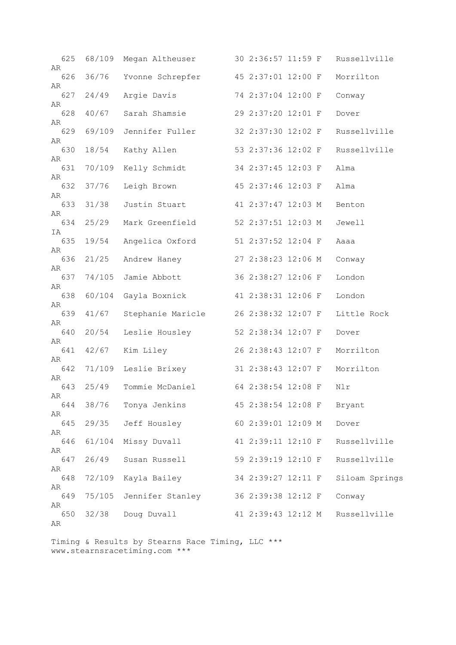| 625<br>AR | 68/109 | Megan Altheuser   |  | 30 2:36:57 11:59 F |  | Russellville   |
|-----------|--------|-------------------|--|--------------------|--|----------------|
| 626       | 36/76  | Yvonne Schrepfer  |  | 45 2:37:01 12:00 F |  | Morrilton      |
| AR<br>627 | 24/49  | Argie Davis       |  | 74 2:37:04 12:00 F |  | Conway         |
| AR<br>628 | 40/67  | Sarah Shamsie     |  | 29 2:37:20 12:01 F |  | Dover          |
| AR<br>629 | 69/109 | Jennifer Fuller   |  | 32 2:37:30 12:02 F |  | Russellville   |
| AR<br>630 | 18/54  | Kathy Allen       |  | 53 2:37:36 12:02 F |  | Russellville   |
| AR        |        |                   |  |                    |  |                |
| 631<br>AR | 70/109 | Kelly Schmidt     |  | 34 2:37:45 12:03 F |  | Alma           |
| 632       | 37/76  | Leigh Brown       |  | 45 2:37:46 12:03 F |  | Alma           |
| AR<br>633 | 31/38  | Justin Stuart     |  | 41 2:37:47 12:03 M |  | Benton         |
| AR<br>634 | 25/29  | Mark Greenfield   |  | 52 2:37:51 12:03 M |  | Jewell         |
| IA        |        |                   |  |                    |  |                |
| 635<br>AR | 19/54  | Angelica Oxford   |  | 51 2:37:52 12:04 F |  | Aaaa           |
| 636<br>AR | 21/25  | Andrew Haney      |  | 27 2:38:23 12:06 M |  | Conway         |
| 637       | 74/105 | Jamie Abbott      |  | 36 2:38:27 12:06 F |  | London         |
| AR<br>638 | 60/104 | Gayla Boxnick     |  | 41 2:38:31 12:06 F |  | London         |
| AR<br>639 | 41/67  | Stephanie Maricle |  | 26 2:38:32 12:07 F |  | Little Rock    |
| AR<br>640 | 20/54  | Leslie Housley    |  | 52 2:38:34 12:07 F |  | Dover          |
| AR<br>641 | 42/67  | Kim Liley         |  | 26 2:38:43 12:07 F |  | Morrilton      |
| AR        |        |                   |  |                    |  |                |
| 642<br>AR | 71/109 | Leslie Brixey     |  | 31 2:38:43 12:07 F |  | Morrilton      |
| 643<br>AR | 25/49  | Tommie McDaniel   |  | 64 2:38:54 12:08 F |  | Nlr            |
| 644       | 38/76  | Tonya Jenkins     |  | 45 2:38:54 12:08 F |  | Bryant         |
| AR<br>645 | 29/35  | Jeff Housley      |  | 60 2:39:01 12:09 M |  | Dover          |
| AR<br>646 | 61/104 | Missy Duvall      |  | 41 2:39:11 12:10 F |  | Russellville   |
| AR<br>647 | 26/49  | Susan Russell     |  | 59 2:39:19 12:10 F |  | Russellville   |
| AR<br>648 | 72/109 | Kayla Bailey      |  | 34 2:39:27 12:11 F |  | Siloam Springs |
| AR        |        |                   |  |                    |  |                |
| 649<br>AR | 75/105 | Jennifer Stanley  |  | 36 2:39:38 12:12 F |  | Conway         |
| 650<br>AR | 32/38  | Doug Duvall       |  | 41 2:39:43 12:12 M |  | Russellville   |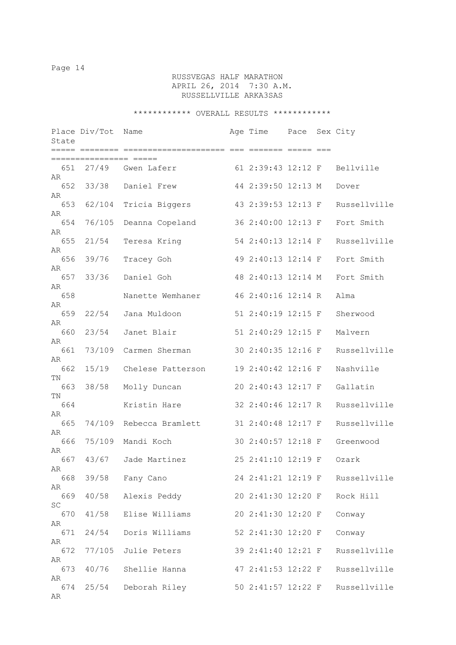# RUSSVEGAS HALF MARATHON APRIL 26, 2014 7:30 A.M. RUSSELLVILLE ARKA3SAS

| State     | Place Div/Tot                                 | Name                    | Age Time Pace Sex City |  |                              |
|-----------|-----------------------------------------------|-------------------------|------------------------|--|------------------------------|
|           | ===== ======== ======<br>=============== ==== |                         |                        |  |                              |
| 651<br>AR | 27/49                                         | Gwen Laferr             |                        |  | 61 2:39:43 12:12 F Bellville |
| 652<br>AR | 33/38                                         | Daniel Frew             | 44 2:39:50 12:13 M     |  | Dover                        |
| 653<br>AR | 62/104                                        | Tricia Biggers          | 43 2:39:53 12:13 F     |  | Russellville                 |
| 654<br>AR | 76/105                                        | Deanna Copeland         | 36 2:40:00 12:13 F     |  | Fort Smith                   |
| 655<br>AR | 21/54                                         | Teresa Kring            | 54 2:40:13 12:14 F     |  | Russellville                 |
| 656<br>AR | 39/76                                         | Tracey Goh              | 49 2:40:13 12:14 F     |  | Fort Smith                   |
| 657<br>AR | 33/36                                         | Daniel Goh              | 48 2:40:13 12:14 M     |  | Fort Smith                   |
| 658<br>AR |                                               | Nanette Wemhaner        | 46 2:40:16 12:14 R     |  | Alma                         |
| 659<br>AR | 22/54                                         | Jana Muldoon            | 51 2:40:19 12:15 F     |  | Sherwood                     |
| 660<br>AR | 23/54                                         | Janet Blair             | 51 2:40:29 12:15 F     |  | Malvern                      |
| 661<br>AR | 73/109                                        | Carmen Sherman          | 30 2:40:35 12:16 F     |  | Russellville                 |
| 662<br>ΤN | 15/19                                         | Chelese Patterson       | 19 2:40:42 12:16 F     |  | Nashville                    |
| 663<br>ΤN | 38/58                                         | Molly Duncan            | 20 2:40:43 12:17 F     |  | Gallatin                     |
| 664<br>AR |                                               | Kristin Hare            | 32 2:40:46 12:17 R     |  | Russellville                 |
| 665<br>AR |                                               | 74/109 Rebecca Bramlett | 31 2:40:48 12:17 F     |  | Russellville                 |
| 666<br>AR | 75/109                                        | Mandi Koch              | 30 2:40:57 12:18 F     |  | Greenwood                    |
| 667<br>AR | 43/67                                         | Jade Martinez           | 25 2:41:10 12:19 F     |  | Ozark                        |
| 668<br>AR |                                               | 39/58 Fany Cano         | 24 2:41:21 12:19 F     |  | Russellville                 |
| 669<br>SC | 40/58                                         | Alexis Peddy            | 20 2:41:30 12:20 F     |  | Rock Hill                    |
| 670<br>AR | 41/58                                         | Elise Williams          | 20 2:41:30 12:20 F     |  | Conway                       |
| 671<br>AR | 24/54                                         | Doris Williams          | 52 2:41:30 12:20 F     |  | Conway                       |
| 672<br>AR | 77/105                                        | Julie Peters            | 39 2:41:40 12:21 F     |  | Russellville                 |
| 673<br>AR | 40/76                                         | Shellie Hanna           | 47 2:41:53 12:22 F     |  | Russellville                 |
| 674<br>AR | 25/54                                         | Deborah Riley           | 50 2:41:57 12:22 F     |  | Russellville                 |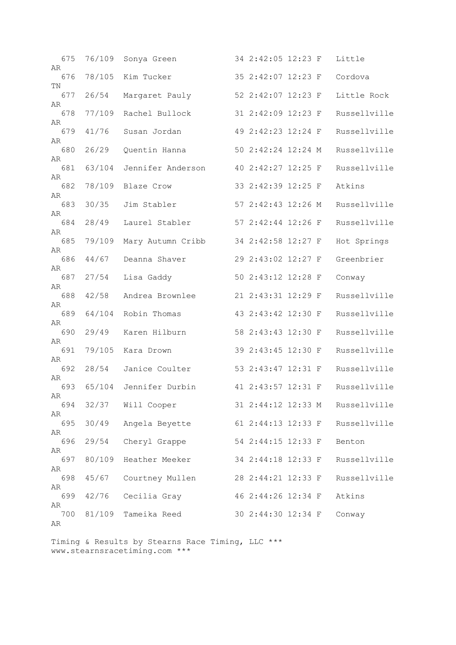| 675             | 76/109 | Sonya Green       | 34 2:42:05 12:23 F |  | Little       |
|-----------------|--------|-------------------|--------------------|--|--------------|
| AR<br>676<br>TN | 78/105 | Kim Tucker        | 35 2:42:07 12:23 F |  | Cordova      |
| 677<br>AR       | 26/54  | Margaret Pauly    | 52 2:42:07 12:23 F |  | Little Rock  |
| 678<br>AR       | 77/109 | Rachel Bullock    | 31 2:42:09 12:23 F |  | Russellville |
| 679<br>AR       | 41/76  | Susan Jordan      | 49 2:42:23 12:24 F |  | Russellville |
| 680<br>AR       | 26/29  | Quentin Hanna     | 50 2:42:24 12:24 M |  | Russellville |
| 681             | 63/104 | Jennifer Anderson | 40 2:42:27 12:25 F |  | Russellville |
| AR<br>682       | 78/109 | Blaze Crow        | 33 2:42:39 12:25 F |  | Atkins       |
| AR<br>683       | 30/35  | Jim Stabler       | 57 2:42:43 12:26 M |  | Russellville |
| AR<br>684       | 28/49  | Laurel Stabler    | 57 2:42:44 12:26 F |  | Russellville |
| AR<br>685       | 79/109 | Mary Autumn Cribb | 34 2:42:58 12:27 F |  | Hot Springs  |
| AR<br>686       | 44/67  | Deanna Shaver     | 29 2:43:02 12:27 F |  | Greenbrier   |
| AR<br>687       | 27/54  | Lisa Gaddy        | 50 2:43:12 12:28 F |  | Conway       |
| AR<br>688       | 42/58  | Andrea Brownlee   | 21 2:43:31 12:29 F |  | Russellville |
| AR<br>689       | 64/104 | Robin Thomas      | 43 2:43:42 12:30 F |  | Russellville |
| AR<br>690       | 29/49  | Karen Hilburn     | 58 2:43:43 12:30 F |  | Russellville |
| AR<br>691       | 79/105 | Kara Drown        | 39 2:43:45 12:30 F |  | Russellville |
| AR<br>692       | 28/54  | Janice Coulter    | 53 2:43:47 12:31 F |  | Russellville |
| AR<br>693       | 65/104 | Jennifer Durbin   | 41 2:43:57 12:31 F |  | Russellville |
| AR<br>694       | 32/37  | Will Cooper       | 31 2:44:12 12:33 M |  | Russellville |
| AR<br>695       | 30/49  | Angela Beyette    | 61 2:44:13 12:33 F |  | Russellville |
| AR<br>696       | 29/54  | Cheryl Grappe     | 54 2:44:15 12:33 F |  | Benton       |
| AR<br>697       | 80/109 | Heather Meeker    | 34 2:44:18 12:33 F |  | Russellville |
| AR<br>698       | 45/67  | Courtney Mullen   | 28 2:44:21 12:33 F |  | Russellville |
| AR<br>699       | 42/76  | Cecilia Gray      | 46 2:44:26 12:34 F |  | Atkins       |
| AR<br>700       | 81/109 | Tameika Reed      | 30 2:44:30 12:34 F |  | Conway       |
| AR              |        |                   |                    |  |              |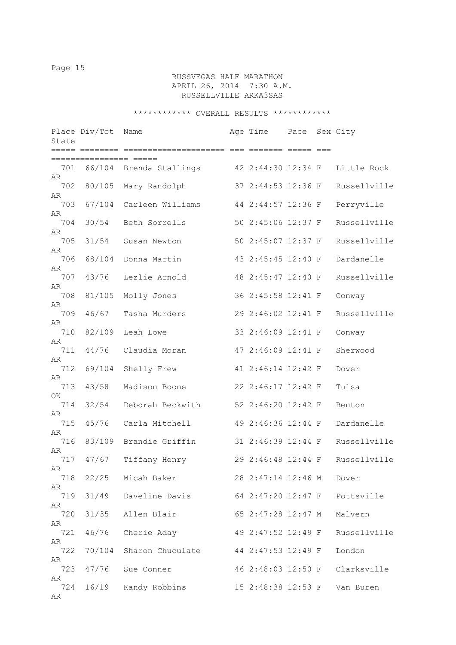# RUSSVEGAS HALF MARATHON APRIL 26, 2014 7:30 A.M. RUSSELLVILLE ARKA3SAS

| State           | Place Div/Tot   | Name                    | Age Time           | Pace | Sex City     |
|-----------------|-----------------|-------------------------|--------------------|------|--------------|
|                 | :============== |                         |                    |      |              |
| 701<br>AR       |                 | 66/104 Brenda Stallings | 42 2:44:30 12:34 F |      | Little Rock  |
| 702             | 80/105          | Mary Randolph           | 37 2:44:53 12:36 F |      | Russellville |
| AR<br>703       | 67/104          | Carleen Williams        | 44 2:44:57 12:36 F |      | Perryville   |
| AR<br>704       | 30/54           | Beth Sorrells           | 50 2:45:06 12:37 F |      | Russellville |
| AR<br>705       | 31/54           | Susan Newton            | 50 2:45:07 12:37 F |      | Russellville |
| AR<br>706       | 68/104          | Donna Martin            | 43 2:45:45 12:40 F |      | Dardanelle   |
| AR<br>707       | 43/76           | Lezlie Arnold           | 48 2:45:47 12:40 F |      | Russellville |
| AR<br>708       | 81/105          | Molly Jones             | 36 2:45:58 12:41 F |      | Conway       |
| AR<br>709       | 46/67           | Tasha Murders           | 29 2:46:02 12:41 F |      | Russellville |
| AR<br>710       | 82/109          | Leah Lowe               | 33 2:46:09 12:41 F |      | Conway       |
| AR<br>711       | 44/76           | Claudia Moran           | 47 2:46:09 12:41 F |      | Sherwood     |
| AR<br>712       | 69/104          | Shelly Frew             | 41 2:46:14 12:42 F |      | Dover        |
| AR<br>713       | 43/58           | Madison Boone           | 22 2:46:17 12:42 F |      | Tulsa        |
| ΟK<br>714       | 32/54           | Deborah Beckwith        | 52 2:46:20 12:42 F |      | Benton       |
| AR<br>715<br>AR | 45/76           | Carla Mitchell          | 49 2:46:36 12:44 F |      | Dardanelle   |
| 716             | 83/109          | Brandie Griffin         | 31 2:46:39 12:44 F |      | Russellville |
| AR<br>717       | 47/67           | Tiffany Henry           | 29 2:46:48 12:44 F |      | Russellville |
| AR<br>718       |                 | 22/25 Micah Baker       | 28 2:47:14 12:46 M |      | Dover        |
| AR<br>719       | 31/49           | Daveline Davis          | 64 2:47:20 12:47 F |      | Pottsville   |
| AR<br>720       | 31/35           | Allen Blair             | 65 2:47:28 12:47 M |      | Malvern      |
| AR<br>721       | 46/76           | Cherie Aday             | 49 2:47:52 12:49 F |      | Russellville |
| AR<br>722       | 70/104          | Sharon Chuculate        | 44 2:47:53 12:49 F |      | London       |
| AR<br>723       | 47/76           | Sue Conner              | 46 2:48:03 12:50 F |      | Clarksville  |
| AR<br>724<br>AR | 16/19           | Kandy Robbins           | 15 2:48:38 12:53 F |      | Van Buren    |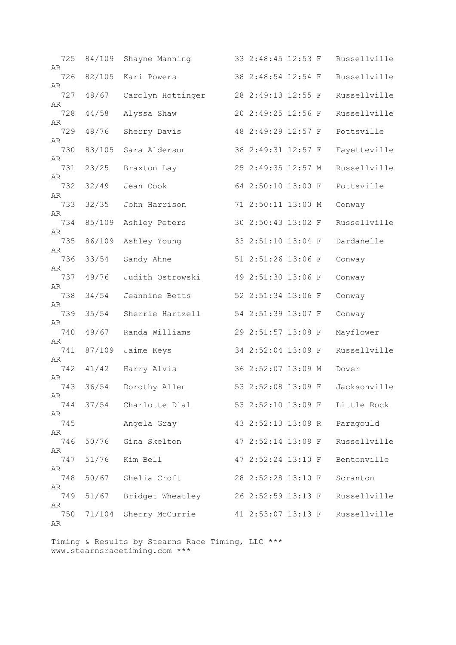| 725<br>AR       | 84/109 | Shayne Manning       | 33 2:48:45 12:53 F |  | Russellville |
|-----------------|--------|----------------------|--------------------|--|--------------|
| 726             | 82/105 | Kari Powers          | 38 2:48:54 12:54 F |  | Russellville |
| AR<br>727       | 48/67  | Carolyn Hottinger    | 28 2:49:13 12:55 F |  | Russellville |
| AR<br>728       | 44/58  | Alyssa Shaw          | 20 2:49:25 12:56 F |  | Russellville |
| AR<br>729       | 48/76  | Sherry Davis         | 48 2:49:29 12:57 F |  | Pottsville   |
| AR<br>730       | 83/105 | Sara Alderson        | 38 2:49:31 12:57 F |  | Fayetteville |
| AR<br>731       | 23/25  | Braxton Lay          | 25 2:49:35 12:57 M |  | Russellville |
| AR<br>732       | 32/49  | Jean Cook            | 64 2:50:10 13:00 F |  | Pottsville   |
| AR              |        |                      |                    |  |              |
| 733<br>AR       | 32/35  | John Harrison        | 71 2:50:11 13:00 M |  | Conway       |
| 734<br>AR       | 85/109 | Ashley Peters        | 30 2:50:43 13:02 F |  | Russellville |
| 735<br>AR       | 86/109 | Ashley Young         | 33 2:51:10 13:04 F |  | Dardanelle   |
| 736<br>AR       | 33/54  | Sandy Ahne           | 51 2:51:26 13:06 F |  | Conway       |
| 737             | 49/76  | Judith Ostrowski     | 49 2:51:30 13:06 F |  | Conway       |
| AR<br>738       | 34/54  | Jeannine Betts       | 52 2:51:34 13:06 F |  | Conway       |
| AR<br>739       | 35/54  | Sherrie Hartzell     | 54 2:51:39 13:07 F |  | Conway       |
| AR<br>740       | 49/67  | Randa Williams       | 29 2:51:57 13:08 F |  | Mayflower    |
| AR<br>741       | 87/109 | Jaime Keys           | 34 2:52:04 13:09 F |  | Russellville |
| AR<br>742       | 41/42  | Harry Alvis          | 36 2:52:07 13:09 M |  | Dover        |
| AR              | 36/54  |                      |                    |  |              |
| 743<br>AR       |        | Dorothy Allen        | 53 2:52:08 13:09 F |  | Jacksonville |
| 744<br>AR       |        | 37/54 Charlotte Dial | 53 2:52:10 13:09 F |  | Little Rock  |
| 745<br>AR       |        | Angela Gray          | 43 2:52:13 13:09 R |  | Paragould    |
| 746<br>AR       | 50/76  | Gina Skelton         | 47 2:52:14 13:09 F |  | Russellville |
| 747             | 51/76  | Kim Bell             | 47 2:52:24 13:10 F |  | Bentonville  |
| AR<br>748       | 50/67  | Shelia Croft         | 28 2:52:28 13:10 F |  | Scranton     |
| AR<br>749       | 51/67  | Bridget Wheatley     | 26 2:52:59 13:13 F |  | Russellville |
| AR<br>750<br>AR | 71/104 | Sherry McCurrie      | 41 2:53:07 13:13 F |  | Russellville |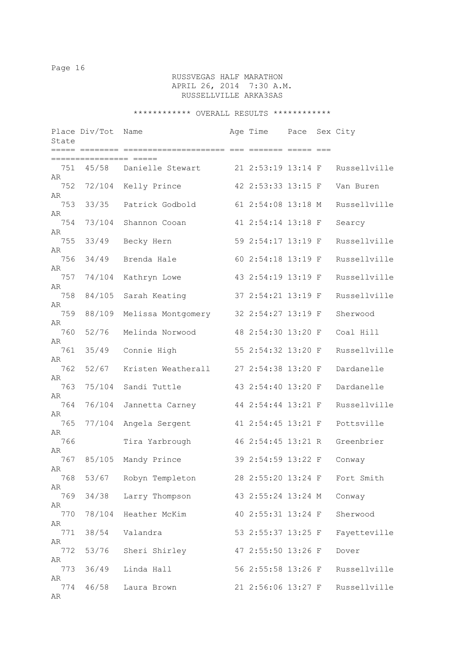# RUSSVEGAS HALF MARATHON APRIL 26, 2014 7:30 A.M. RUSSELLVILLE ARKA3SAS

| State           | Place Div/Tot  | Name               | Age Time           | Pace Sex City |              |
|-----------------|----------------|--------------------|--------------------|---------------|--------------|
|                 | ===== ======== | =============      | ESSESSE SSEER SEE  |               |              |
| 751<br>AR       | 45/58          | Danielle Stewart   | 21 2:53:19 13:14 F |               | Russellville |
| 752             | 72/104         | Kelly Prince       | 42 2:53:33 13:15 F |               | Van Buren    |
| AR<br>753       | 33/35          | Patrick Godbold    | 61 2:54:08 13:18 M |               | Russellville |
| AR<br>754       | 73/104         | Shannon Cooan      | 41 2:54:14 13:18 F |               | Searcy       |
| AR<br>755       | 33/49          | Becky Hern         | 59 2:54:17 13:19 F |               | Russellville |
| AR<br>756       | 34/49          | Brenda Hale        | 60 2:54:18 13:19 F |               | Russellville |
| AR<br>757       | 74/104         | Kathryn Lowe       | 43 2:54:19 13:19 F |               | Russellville |
| AR<br>758       | 84/105         | Sarah Keating      | 37 2:54:21 13:19 F |               | Russellville |
| AR<br>759       | 88/109         | Melissa Montgomery | 32 2:54:27 13:19 F |               | Sherwood     |
| AR<br>760       | 52/76          | Melinda Norwood    | 48 2:54:30 13:20 F |               | Coal Hill    |
| AR<br>761       | 35/49          | Connie High        | 55 2:54:32 13:20 F |               | Russellville |
| AR<br>762       | 52/67          | Kristen Weatherall | 27 2:54:38 13:20 F |               | Dardanelle   |
| AR<br>763       | 75/104         | Sandi Tuttle       | 43 2:54:40 13:20 F |               | Dardanelle   |
| AR<br>764       | 76/104         | Jannetta Carney    | 44 2:54:44 13:21 F |               | Russellville |
| AR<br>765       | 77/104         | Angela Sergent     | 41 2:54:45 13:21 F |               | Pottsville   |
| AR<br>766       |                | Tira Yarbrough     | 46 2:54:45 13:21 R |               | Greenbrier   |
| AR<br>767       | 85/105         | Mandy Prince       | 39 2:54:59 13:22 F |               | Conway       |
| AR<br>768       | 53/67          | Robyn Templeton    | 28 2:55:20 13:24 F |               | Fort Smith   |
| AR<br>769       | 34/38          | Larry Thompson     | 43 2:55:24 13:24 M |               | Conway       |
| AR<br>770       | 78/104         | Heather McKim      | 40 2:55:31 13:24 F |               | Sherwood     |
| AR<br>771       | 38/54          | Valandra           | 53 2:55:37 13:25 F |               | Fayetteville |
| AR<br>772       | 53/76          | Sheri Shirley      | 47 2:55:50 13:26 F |               | Dover        |
| AR<br>773       | 36/49          | Linda Hall         | 56 2:55:58 13:26 F |               | Russellville |
| AR<br>774<br>AR | 46/58          | Laura Brown        | 21 2:56:06 13:27 F |               | Russellville |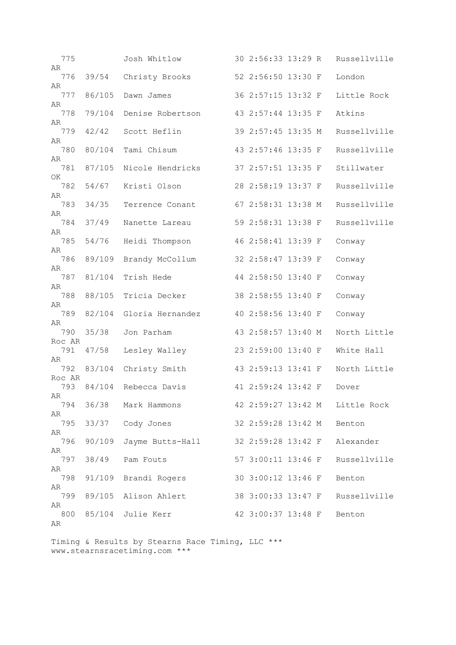| 775             |        | Josh Whitlow         | 30 2:56:33 13:29 R |  | Russellville                   |
|-----------------|--------|----------------------|--------------------|--|--------------------------------|
| AR<br>776<br>AR | 39/54  | Christy Brooks       | 52 2:56:50 13:30 F |  | London                         |
| 777<br>AR       | 86/105 | Dawn James           | 36 2:57:15 13:32 F |  | Little Rock                    |
| 778<br>AR       | 79/104 | Denise Robertson     | 43 2:57:44 13:35 F |  | Atkins                         |
| 779<br>AR       | 42/42  | Scott Heflin         | 39 2:57:45 13:35 M |  | Russellville                   |
| 780<br>AR       | 80/104 | Tami Chisum          | 43 2:57:46 13:35 F |  | Russellville                   |
| 781             | 87/105 | Nicole Hendricks     | 37 2:57:51 13:35 F |  | Stillwater                     |
| OK<br>782       | 54/67  | Kristi Olson         | 28 2:58:19 13:37 F |  | Russellville                   |
| AR<br>783       | 34/35  | Terrence Conant      | 67 2:58:31 13:38 M |  | Russellville                   |
| AR<br>784       | 37/49  | Nanette Lareau       | 59 2:58:31 13:38 F |  | Russellville                   |
| AR<br>785       | 54/76  | Heidi Thompson       | 46 2:58:41 13:39 F |  | Conway                         |
| AR<br>786       | 89/109 | Brandy McCollum      | 32 2:58:47 13:39 F |  | Conway                         |
| AR<br>787       | 81/104 | Trish Hede           | 44 2:58:50 13:40 F |  | Conway                         |
| AR<br>788       | 88/105 | Tricia Decker        | 38 2:58:55 13:40 F |  | Conway                         |
| AR<br>789       | 82/104 | Gloria Hernandez     | 40 2:58:56 13:40 F |  | Conway                         |
| AR<br>790       | 35/38  | Jon Parham           | 43 2:58:57 13:40 M |  | North Little                   |
| Roc AR<br>791   | 47/58  | Lesley Walley        | 23 2:59:00 13:40 F |  | White Hall                     |
| AR<br>792       | 83/104 | Christy Smith        | 43 2:59:13 13:41 F |  | North Little                   |
| Roc AR<br>793   | 84/104 | Rebecca Davis        | 41 2:59:24 13:42 F |  | Dover                          |
| AR<br>794       |        | 36/38 Mark Hammons   |                    |  | 42 2:59:27 13:42 M Little Rock |
| AR<br>795       | 33/37  | Cody Jones           | 32 2:59:28 13:42 M |  | Benton                         |
| AR<br>796       | 90/109 | Jayme Butts-Hall     | 32 2:59:28 13:42 F |  | Alexander                      |
| AR<br>797       | 38/49  | Pam Fouts            | 57 3:00:11 13:46 F |  | Russellville                   |
| AR<br>798       | 91/109 | Brandi Rogers        | 30 3:00:12 13:46 F |  | Benton                         |
| AR<br>799       |        | 89/105 Alison Ahlert | 38 3:00:33 13:47 F |  | Russellville                   |
| AR<br>800       |        | 85/104 Julie Kerr    | 42 3:00:37 13:48 F |  | Benton                         |
| AR              |        |                      |                    |  |                                |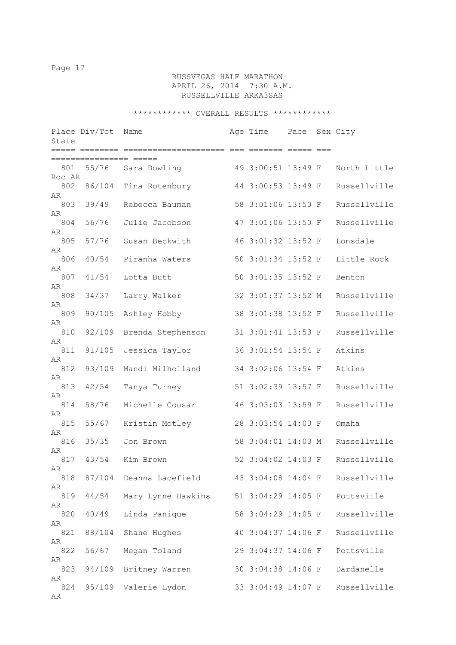# RUSSVEGAS HALF MARATHON APRIL 26, 2014 7:30 A.M. RUSSELLVILLE ARKA3SAS

| State           | Place Div/Tot   | Name                    | Age Time           | Pace | Sex City     |
|-----------------|-----------------|-------------------------|--------------------|------|--------------|
|                 | =============== |                         |                    |      |              |
| 801<br>Roc AR   |                 | 55/76 Sara Bowling      | 49 3:00:51 13:49 F |      | North Little |
| 802             | 86/104          | Tina Rotenbury          | 44 3:00:53 13:49 F |      | Russellville |
| AR<br>803       | 39/49           | Rebecca Bauman          | 58 3:01:06 13:50 F |      | Russellville |
| AR<br>804       | 56/76           | Julie Jacobson          | 47 3:01:06 13:50 F |      | Russellville |
| AR<br>805       | 57/76           | Susan Beckwith          | 46 3:01:32 13:52 F |      | Lonsdale     |
| AR<br>806       | 40/54           | Piranha Waters          | 50 3:01:34 13:52 F |      | Little Rock  |
| AR<br>807       | 41/54           | Lotta Butt              | 50 3:01:35 13:52 F |      | Benton       |
| AR<br>808       | 34/37           | Larry Walker            | 32 3:01:37 13:52 M |      | Russellville |
| AR<br>809       | 90/105          | Ashley Hobby            | 38 3:01:38 13:52 F |      | Russellville |
| AR<br>810       | 92/109          | Brenda Stephenson       | 31 3:01:41 13:53 F |      | Russellville |
| AR<br>811       | 91/105          | Jessica Taylor          | 36 3:01:54 13:54 F |      | Atkins       |
| AR<br>812       | 93/109          | Mandi Milholland        | 34 3:02:06 13:54 F |      | Atkins       |
| AR<br>813       | 42/54           | Tanya Turney            | 51 3:02:39 13:57 F |      | Russellville |
| AR<br>814       | 58/76           | Michelle Cousar         | 46 3:03:03 13:59 F |      | Russellville |
| AR<br>815       | 55/67           | Kristin Motley          | 28 3:03:54 14:03 F |      | Omaha        |
| AR<br>816       | 35/35           | Jon Brown               | 58 3:04:01 14:03 M |      | Russellville |
| AR<br>817       | 43/54           | Kim Brown               | 52 3:04:02 14:03 F |      | Russellville |
| AR              |                 | 87/104 Deanna Lacefield |                    |      |              |
| 818<br>AR       |                 |                         | 43 3:04:08 14:04 F |      | Russellville |
| 819<br>AR       | 44/54           | Mary Lynne Hawkins      | 51 3:04:29 14:05 F |      | Pottsviile   |
| 820<br>AR       | 40/49           | Linda Panique           | 58 3:04:29 14:05 F |      | Russellville |
| 821<br>AR       | 88/104          | Shane Hughes            | 40 3:04:37 14:06 F |      | Russellville |
| 822             | 56/67           | Megan Toland            | 29 3:04:37 14:06 F |      | Pottsville   |
| AR<br>823       | 94/109          | Britney Warren          | 30 3:04:38 14:06 F |      | Dardanelle   |
| AR<br>824<br>AR | 95/109          | Valerie Lydon           | 33 3:04:49 14:07 F |      | Russellville |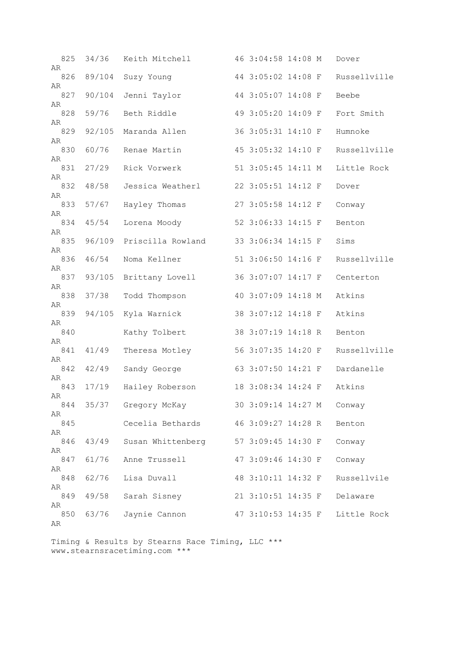| 825<br>AR | 34/36  | Keith Mitchell      | 46 3:04:58 14:08 M |  | Dover        |
|-----------|--------|---------------------|--------------------|--|--------------|
| 826       | 89/104 | Suzy Young          | 44 3:05:02 14:08 F |  | Russellville |
| AR<br>827 | 90/104 | Jenni Taylor        | 44 3:05:07 14:08 F |  | Beebe        |
| AR<br>828 | 59/76  | Beth Riddle         | 49 3:05:20 14:09 F |  | Fort Smith   |
| AR<br>829 | 92/105 | Maranda Allen       | 36 3:05:31 14:10 F |  | Humnoke      |
| AR<br>830 | 60/76  | Renae Martin        | 45 3:05:32 14:10 F |  | Russellville |
| AR<br>831 | 27/29  | Rick Vorwerk        | 51 3:05:45 14:11 M |  | Little Rock  |
| AR<br>832 | 48/58  | Jessica Weatherl    | 22 3:05:51 14:12 F |  | Dover        |
| AR<br>833 | 57/67  | Hayley Thomas       | 27 3:05:58 14:12 F |  | Conway       |
| AR        |        |                     |                    |  |              |
| 834<br>AR | 45/54  | Lorena Moody        | 52 3:06:33 14:15 F |  | Benton       |
| 835<br>AR | 96/109 | Priscilla Rowland   | 33 3:06:34 14:15 F |  | Sims         |
| 836<br>AR | 46/54  | Noma Kellner        | 51 3:06:50 14:16 F |  | Russellville |
| 837<br>AR | 93/105 | Brittany Lovell     | 36 3:07:07 14:17 F |  | Centerton    |
| 838       | 37/38  | Todd Thompson       | 40 3:07:09 14:18 M |  | Atkins       |
| AR<br>839 | 94/105 | Kyla Warnick        | 38 3:07:12 14:18 F |  | Atkins       |
| AR<br>840 |        | Kathy Tolbert       | 38 3:07:19 14:18 R |  | Benton       |
| AR<br>841 | 41/49  | Theresa Motley      | 56 3:07:35 14:20 F |  | Russellville |
| AR<br>842 | 42/49  | Sandy George        | 63 3:07:50 14:21 F |  | Dardanelle   |
| AR<br>843 | 17/19  | Hailey Roberson     | 18 3:08:34 14:24 F |  | Atkins       |
| AR<br>844 |        | 35/37 Gregory McKay | 30 3:09:14 14:27 M |  | Conway       |
| AR<br>845 |        | Cecelia Bethards    | 46 3:09:27 14:28 R |  | Benton       |
| AR        |        |                     |                    |  |              |
| 846<br>AR | 43/49  | Susan Whittenberg   | 57 3:09:45 14:30 F |  | Conway       |
| 847<br>AR | 61/76  | Anne Trussell       | 47 3:09:46 14:30 F |  | Conway       |
| 848<br>AR | 62/76  | Lisa Duvall         | 48 3:10:11 14:32 F |  | Russellvile  |
| 849<br>AR | 49/58  | Sarah Sisney        | 21 3:10:51 14:35 F |  | Delaware     |
| 850<br>AR | 63/76  | Jaynie Cannon       | 47 3:10:53 14:35 F |  | Little Rock  |
|           |        |                     |                    |  |              |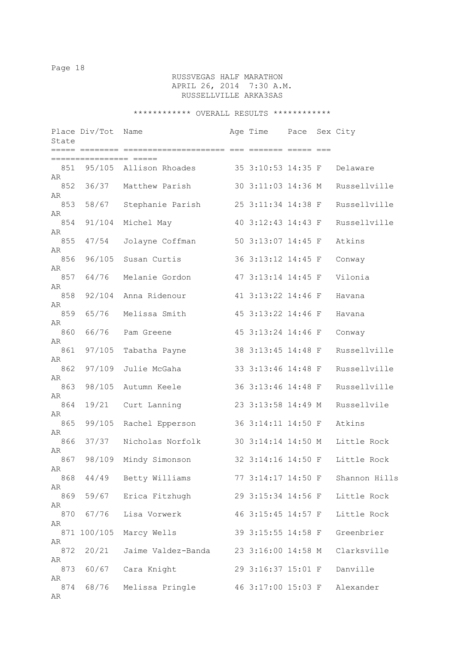# RUSSVEGAS HALF MARATHON APRIL 26, 2014 7:30 A.M. RUSSELLVILLE ARKA3SAS

| State           | Place Div/Tot   | Name                   | Age Time           | Pace | Sex City      |
|-----------------|-----------------|------------------------|--------------------|------|---------------|
|                 | :====  ======== |                        |                    |      |               |
| 851<br>AR       |                 | 95/105 Allison Rhoades | 35 3:10:53 14:35 F |      | Delaware      |
| 852<br>AR       | 36/37           | Matthew Parish         | 30 3:11:03 14:36 M |      | Russellville  |
| 853<br>AR       | 58/67           | Stephanie Parish       | 25 3:11:34 14:38 F |      | Russellville  |
| 854             | 91/104          | Michel May             | 40 3:12:43 14:43 F |      | Russellville  |
| AR<br>855       | 47/54           | Jolayne Coffman        | 50 3:13:07 14:45 F |      | Atkins        |
| AR<br>856       | 96/105          | Susan Curtis           | 36 3:13:12 14:45 F |      | Conway        |
| AR<br>857       | 64/76           | Melanie Gordon         | 47 3:13:14 14:45 F |      | Vilonia       |
| AR<br>858       | 92/104          | Anna Ridenour          | 41 3:13:22 14:46 F |      | Havana        |
| AR<br>859       | 65/76           | Melissa Smith          | 45 3:13:22 14:46 F |      | Havana        |
| AR<br>860       | 66/76           | Pam Greene             | 45 3:13:24 14:46 F |      | Conway        |
| AR<br>861       | 97/105          | Tabatha Payne          | 38 3:13:45 14:48 F |      | Russellville  |
| AR<br>862       | 97/109          | Julie McGaha           | 33 3:13:46 14:48 F |      | Russellville  |
| AR<br>863       | 98/105          | Autumn Keele           | 36 3:13:46 14:48 F |      | Russellville  |
| AR<br>864       | 19/21           | Curt Lanning           | 23 3:13:58 14:49 M |      | Russellvile   |
| AR<br>865       | 99/105          | Rachel Epperson        | 36 3:14:11 14:50 F |      | Atkins        |
| AR<br>866       | 37/37           | Nicholas Norfolk       | 30 3:14:14 14:50 M |      | Little Rock   |
| AR<br>867       | 98/109          | Mindy Simonson         | 32 3:14:16 14:50 F |      | Little Rock   |
| AR<br>868       |                 | 44/49 Betty Williams   | 77 3:14:17 14:50 F |      | Shannon Hills |
| AR<br>869       |                 | 59/67 Erica Fitzhugh   | 29 3:15:34 14:56 F |      | Little Rock   |
| AR<br>870       | 67/76           | Lisa Vorwerk           | 46 3:15:45 14:57 F |      | Little Rock   |
| AR              | 871 100/105     | Marcy Wells            | 39 3:15:55 14:58 F |      | Greenbrier    |
| AR<br>872       | 20/21           | Jaime Valdez-Banda     | 23 3:16:00 14:58 M |      | Clarksville   |
| AR<br>873       | 60/67           | Cara Knight            | 29 3:16:37 15:01 F |      | Danville      |
| AR<br>874<br>AR | 68/76           | Melissa Pringle        | 46 3:17:00 15:03 F |      | Alexander     |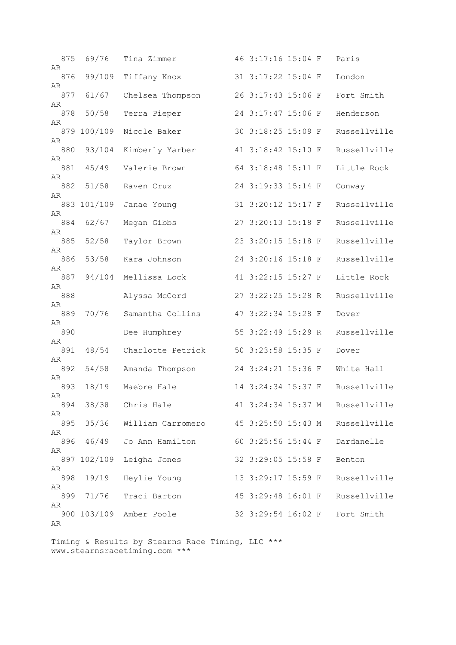| 875       | 69/76       | Tina Zimmer       | 46 3:17:16 15:04 F |  | Paris                           |
|-----------|-------------|-------------------|--------------------|--|---------------------------------|
| AR<br>876 | 99/109      | Tiffany Knox      | 31 3:17:22 15:04 F |  | London                          |
| AR<br>877 | 61/67       | Chelsea Thompson  | 26 3:17:43 15:06 F |  | Fort Smith                      |
| AR<br>878 | 50/58       | Terra Pieper      | 24 3:17:47 15:06 F |  | Henderson                       |
| AR        | 879 100/109 | Nicole Baker      | 30 3:18:25 15:09 F |  | Russellville                    |
| AR        |             |                   |                    |  |                                 |
| 880<br>AR | 93/104      | Kimberly Yarber   | 41 3:18:42 15:10 F |  | Russellville                    |
| 881<br>AR | 45/49       | Valerie Brown     | 64 3:18:48 15:11 F |  | Little Rock                     |
| 882       | 51/58       | Raven Cruz        | 24 3:19:33 15:14 F |  | Conway                          |
| AR        | 883 101/109 | Janae Young       | 31 3:20:12 15:17 F |  | Russellville                    |
| AR<br>884 | 62/67       | Megan Gibbs       | 27 3:20:13 15:18 F |  | Russellville                    |
| AR        |             |                   |                    |  |                                 |
| 885<br>AR | 52/58       | Taylor Brown      | 23 3:20:15 15:18 F |  | Russellville                    |
| 886       | 53/58       | Kara Johnson      | 24 3:20:16 15:18 F |  | Russellville                    |
| AR<br>887 | 94/104      | Mellissa Lock     | 41 3:22:15 15:27 F |  | Little Rock                     |
| AR<br>888 |             | Alyssa McCord     | 27 3:22:25 15:28 R |  | Russellville                    |
| AR<br>889 | 70/76       | Samantha Collins  | 47 3:22:34 15:28 F |  | Dover                           |
| AR<br>890 |             | Dee Humphrey      | 55 3:22:49 15:29 R |  | Russellville                    |
| AR<br>891 | 48/54       | Charlotte Petrick | 50 3:23:58 15:35 F |  | Dover                           |
| AR        |             |                   |                    |  |                                 |
| 892<br>AR | 54/58       | Amanda Thompson   | 24 3:24:21 15:36 F |  | White Hall                      |
| 893<br>AR | 18/19       | Maebre Hale       | 14 3:24:34 15:37 F |  | Russellville                    |
| 894       | 38/38       | Chris Hale        |                    |  | 41 3:24:34 15:37 M Russellville |
| AR<br>895 | 35/36       | William Carromero | 45 3:25:50 15:43 M |  | Russellville                    |
| AR<br>896 | 46/49       | Jo Ann Hamilton   | 60 3:25:56 15:44 F |  | Dardanelle                      |
| AR        | 897 102/109 | Leigha Jones      | 32 3:29:05 15:58 F |  | Benton                          |
| AR        |             |                   |                    |  |                                 |
| 898<br>AR | 19/19       | Heylie Young      | 13 3:29:17 15:59 F |  | Russellville                    |
| 899       | 71/76       | Traci Barton      | 45 3:29:48 16:01 F |  | Russellville                    |
| AR        | 900 103/109 | Amber Poole       | 32 3:29:54 16:02 F |  | Fort Smith                      |
| AR        |             |                   |                    |  |                                 |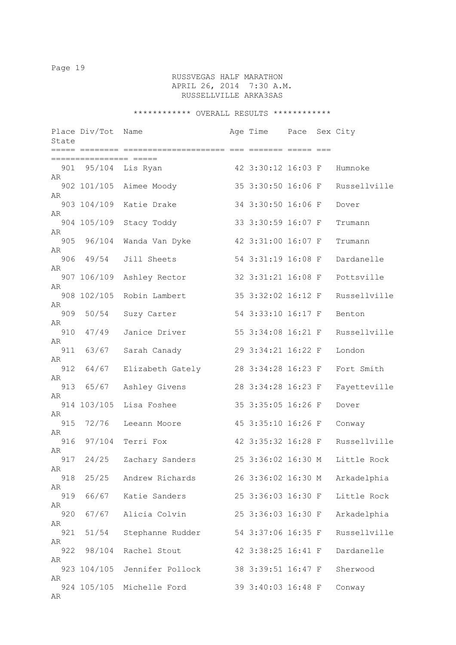# RUSSVEGAS HALF MARATHON APRIL 26, 2014 7:30 A.M. RUSSELLVILLE ARKA3SAS

| State     | Place Div/Tot | Name                    | Age Time Pace Sex City |  |              |
|-----------|---------------|-------------------------|------------------------|--|--------------|
|           |               |                         |                        |  |              |
| 901<br>AR |               | 95/104  Lis Ryan        | 42 3:30:12 16:03 F     |  | Humnoke      |
| AR        |               | 902 101/105 Aimee Moody | 35 3:30:50 16:06 F     |  | Russellville |
|           | 903 104/109   | Katie Drake             | 34 3:30:50 16:06 F     |  | Dover        |
| AR        | 904 105/109   | Stacy Toddy             | 33 3:30:59 16:07 F     |  | Trumann      |
| AR        | 905 96/104    | Wanda Van Dyke          | 42 3:31:00 16:07 F     |  | Trumann      |
| AR<br>906 | 49/54         | Jill Sheets             | 54 3:31:19 16:08 F     |  | Dardanelle   |
| AR        | 907 106/109   | Ashley Rector           | 32 3:31:21 16:08 F     |  | Pottsville   |
| AR        | 908 102/105   | Robin Lambert           | 35 3:32:02 16:12 F     |  | Russellville |
| AR<br>909 | 50/54         | Suzy Carter             | 54 3:33:10 16:17 F     |  | Benton       |
| AR<br>910 | 47/49         | Janice Driver           | 55 3:34:08 16:21 F     |  | Russellville |
| AR<br>911 | 63/67         | Sarah Canady            | 29 3:34:21 16:22 F     |  | London       |
| AR<br>912 | 64/67         | Elizabeth Gately        | 28 3:34:28 16:23 F     |  | Fort Smith   |
| AR        |               |                         |                        |  |              |
| 913<br>AR | 65/67         | Ashley Givens           | 28 3:34:28 16:23 F     |  | Fayetteville |
| AR        | 914 103/105   | Lisa Foshee             | 35 3:35:05 16:26 F     |  | Dover        |
| 915<br>AR | 72/76         | Leeann Moore            | 45 3:35:10 16:26 F     |  | Conway       |
| 916<br>AR | 97/104        | Terri Fox               | 42 3:35:32 16:28 F     |  | Russellville |
| 917<br>AR | 24/25         | Zachary Sanders         | 25 3:36:02 16:30 M     |  | Little Rock  |
| 918<br>AR | 25/25         | Andrew Richards         | 26 3:36:02 16:30 M     |  | Arkadelphia  |
| 919       | 66/67         | Katie Sanders           | 25 3:36:03 16:30 F     |  | Little Rock  |
| AR<br>920 | 67/67         | Alicia Colvin           | 25 3:36:03 16:30 F     |  | Arkadelphia  |
| AR<br>921 | 51/54         | Stephanne Rudder        | 54 3:37:06 16:35 F     |  | Russellville |
| AR<br>922 | 98/104        | Rachel Stout            | 42 3:38:25 16:41 F     |  | Dardanelle   |
| AR        | 923 104/105   | Jennifer Pollock        | 38 3:39:51 16:47 F     |  | Sherwood     |
| AR        | 924 105/105   | Michelle Ford           | 39 3:40:03 16:48 F     |  | Conway       |
| AR        |               |                         |                        |  |              |